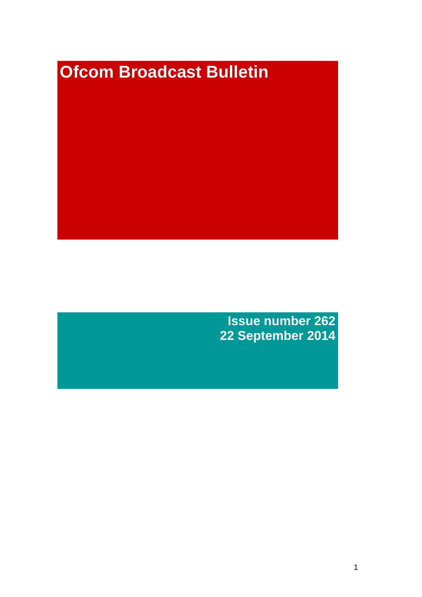# **Ofcom Broadcast Bulletin**

**Issue number 262 22 September 2014**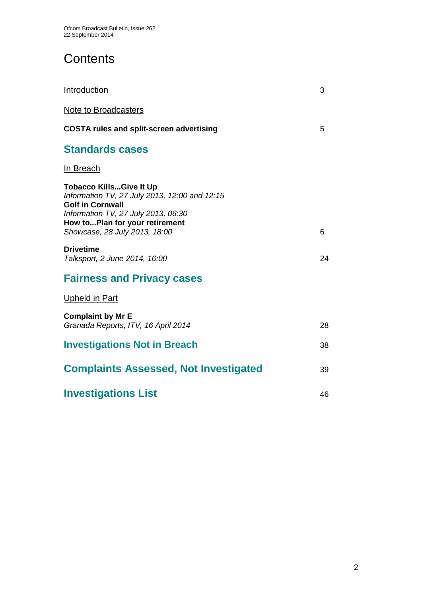# **Contents**

| Introduction                                                                                                                                                                                                         | 3  |
|----------------------------------------------------------------------------------------------------------------------------------------------------------------------------------------------------------------------|----|
| Note to Broadcasters                                                                                                                                                                                                 |    |
| <b>COSTA rules and split-screen advertising</b>                                                                                                                                                                      | 5  |
| <b>Standards cases</b>                                                                                                                                                                                               |    |
| In Breach                                                                                                                                                                                                            |    |
| <b>Tobacco KillsGive It Up</b><br>Information TV, 27 July 2013, 12:00 and 12:15<br><b>Golf in Cornwall</b><br>Information TV, 27 July 2013, 06:30<br>How toPlan for your retirement<br>Showcase, 28 July 2013, 18:00 | 6  |
| <b>Drivetime</b><br>Talksport, 2 June 2014, 16:00                                                                                                                                                                    | 24 |
| <b>Fairness and Privacy cases</b>                                                                                                                                                                                    |    |
| <b>Upheld in Part</b>                                                                                                                                                                                                |    |
| <b>Complaint by Mr E</b><br>Granada Reports, ITV, 16 April 2014                                                                                                                                                      | 28 |
| <b>Investigations Not in Breach</b>                                                                                                                                                                                  | 38 |
| <b>Complaints Assessed, Not Investigated</b>                                                                                                                                                                         | 39 |
| <b>Investigations List</b>                                                                                                                                                                                           | 46 |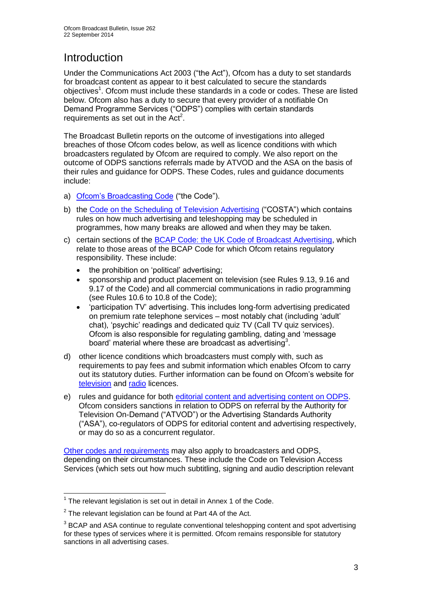# **Introduction**

Under the Communications Act 2003 ("the Act"), Ofcom has a duty to set standards for broadcast content as appear to it best calculated to secure the standards objectives<sup>1</sup>. Ofcom must include these standards in a code or codes. These are listed below. Ofcom also has a duty to secure that every provider of a notifiable On Demand Programme Services ("ODPS") complies with certain standards requirements as set out in the  $Act<sup>2</sup>$ .

The Broadcast Bulletin reports on the outcome of investigations into alleged breaches of those Ofcom codes below, as well as licence conditions with which broadcasters regulated by Ofcom are required to comply. We also report on the outcome of ODPS sanctions referrals made by ATVOD and the ASA on the basis of their rules and guidance for ODPS. These Codes, rules and guidance documents include:

- a) [Ofcom's Broadcasting Code](http://stakeholders.ofcom.org.uk/broadcasting/broadcast-codes/broadcast-code/) ("the Code").
- b) the [Code on the Scheduling of Television Advertising](http://stakeholders.ofcom.org.uk/broadcasting/broadcast-codes/advert-code/) ("COSTA") which contains rules on how much advertising and teleshopping may be scheduled in programmes, how many breaks are allowed and when they may be taken.
- c) certain sections of the [BCAP Code: the UK Code of Broadcast Advertising,](http://www.bcap.org.uk/Advertising-Codes/Broadcast-HTML.aspx) which relate to those areas of the BCAP Code for which Ofcom retains regulatory responsibility. These include:
	- the prohibition on 'political' advertising:
	- sponsorship and product placement on television (see Rules 9.13, 9.16 and 9.17 of the Code) and all commercial communications in radio programming (see Rules 10.6 to 10.8 of the Code);
	- 'participation TV' advertising. This includes long-form advertising predicated on premium rate telephone services – most notably chat (including 'adult' chat), 'psychic' readings and dedicated quiz TV (Call TV quiz services). Ofcom is also responsible for regulating gambling, dating and 'message board' material where these are broadcast as advertising<sup>3</sup>.
- d) other licence conditions which broadcasters must comply with, such as requirements to pay fees and submit information which enables Ofcom to carry out its statutory duties. Further information can be found on Ofcom's website for [television](http://licensing.ofcom.org.uk/tv-broadcast-licences/) and [radio](http://licensing.ofcom.org.uk/radio-broadcast-licensing/) licences.
- e) rules and guidance for both [editorial content and advertising content on ODPS.](http://www.atvod.co.uk/uploads/files/ATVOD_Rules_and_Guidance_Ed_2.0_May_2012.pdf) Ofcom considers sanctions in relation to ODPS on referral by the Authority for Television On-Demand ("ATVOD") or the Advertising Standards Authority ("ASA"), co-regulators of ODPS for editorial content and advertising respectively, or may do so as a concurrent regulator.

[Other codes and requirements](http://stakeholders.ofcom.org.uk/broadcasting/broadcast-codes/) may also apply to broadcasters and ODPS, depending on their circumstances. These include the Code on Television Access Services (which sets out how much subtitling, signing and audio description relevant

<sup>1</sup>  $1$  The relevant legislation is set out in detail in Annex 1 of the Code.

 $2$  The relevant legislation can be found at Part 4A of the Act.

 $3$  BCAP and ASA continue to regulate conventional teleshopping content and spot advertising for these types of services where it is permitted. Ofcom remains responsible for statutory sanctions in all advertising cases.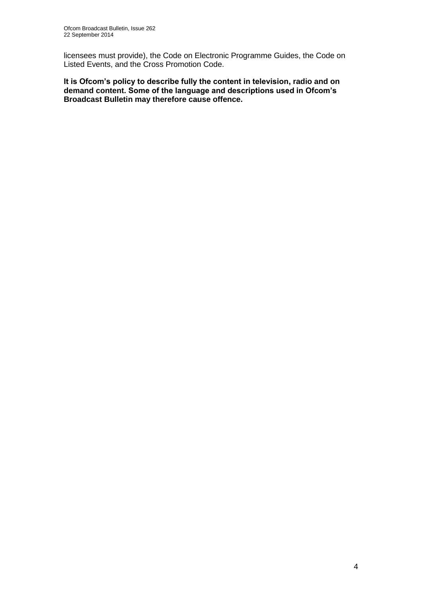licensees must provide), the Code on Electronic Programme Guides, the Code on Listed Events, and the Cross Promotion Code.

**It is Ofcom's policy to describe fully the content in television, radio and on demand content. Some of the language and descriptions used in Ofcom's Broadcast Bulletin may therefore cause offence.**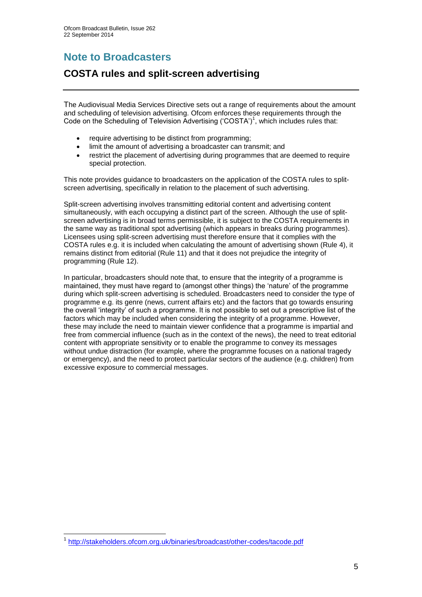# **Note to Broadcasters**

# **COSTA rules and split-screen advertising**

The Audiovisual Media Services Directive sets out a range of requirements about the amount and scheduling of television advertising. Ofcom enforces these requirements through the Code on the Scheduling of Television Advertising ('COSTA')<sup>1</sup>, which includes rules that:

- require advertising to be distinct from programming;
- limit the amount of advertising a broadcaster can transmit; and
- restrict the placement of advertising during programmes that are deemed to require special protection.

This note provides guidance to broadcasters on the application of the COSTA rules to splitscreen advertising, specifically in relation to the placement of such advertising.

Split-screen advertising involves transmitting editorial content and advertising content simultaneously, with each occupying a distinct part of the screen. Although the use of splitscreen advertising is in broad terms permissible, it is subject to the COSTA requirements in the same way as traditional spot advertising (which appears in breaks during programmes). Licensees using split-screen advertising must therefore ensure that it complies with the COSTA rules e.g. it is included when calculating the amount of advertising shown (Rule 4), it remains distinct from editorial (Rule 11) and that it does not prejudice the integrity of programming (Rule 12).

In particular, broadcasters should note that, to ensure that the integrity of a programme is maintained, they must have regard to (amongst other things) the 'nature' of the programme during which split-screen advertising is scheduled. Broadcasters need to consider the type of programme e.g. its genre (news, current affairs etc) and the factors that go towards ensuring the overall 'integrity' of such a programme. It is not possible to set out a prescriptive list of the factors which may be included when considering the integrity of a programme. However, these may include the need to maintain viewer confidence that a programme is impartial and free from commercial influence (such as in the context of the news), the need to treat editorial content with appropriate sensitivity or to enable the programme to convey its messages without undue distraction (for example, where the programme focuses on a national tragedy or emergency), and the need to protect particular sectors of the audience (e.g. children) from excessive exposure to commercial messages.

1

<sup>1</sup> <http://stakeholders.ofcom.org.uk/binaries/broadcast/other-codes/tacode.pdf>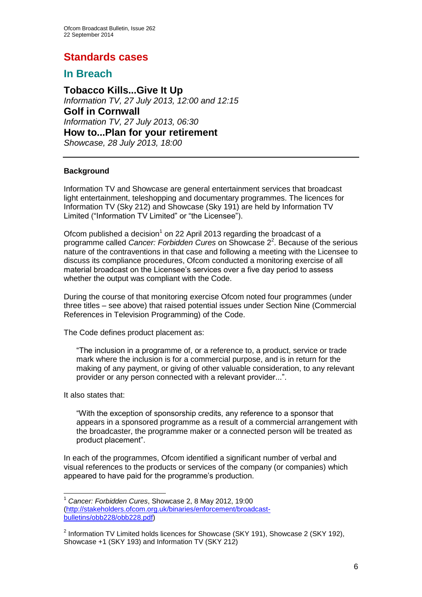# **Standards cases**

# **In Breach**

**Tobacco Kills...Give It Up** *Information TV, 27 July 2013, 12:00 and 12:15* **Golf in Cornwall** *Information TV, 27 July 2013, 06:30* **How to...Plan for your retirement** *Showcase, 28 July 2013, 18:00*

# **Background**

Information TV and Showcase are general entertainment services that broadcast light entertainment, teleshopping and documentary programmes. The licences for Information TV (Sky 212) and Showcase (Sky 191) are held by Information TV Limited ("Information TV Limited" or "the Licensee").

Ofcom published a decision<sup>1</sup> on 22 April 2013 regarding the broadcast of a programme called *Cancer: Forbidden Cures* on Showcase 2<sup>2</sup>. Because of the serious nature of the contraventions in that case and following a meeting with the Licensee to discuss its compliance procedures, Ofcom conducted a monitoring exercise of all material broadcast on the Licensee's services over a five day period to assess whether the output was compliant with the Code.

During the course of that monitoring exercise Ofcom noted four programmes (under three titles – see above) that raised potential issues under Section Nine (Commercial References in Television Programming) of the Code.

The Code defines product placement as:

"The inclusion in a programme of, or a reference to, a product, service or trade mark where the inclusion is for a commercial purpose, and is in return for the making of any payment, or giving of other valuable consideration, to any relevant provider or any person connected with a relevant provider...".

It also states that:

1

"With the exception of sponsorship credits, any reference to a sponsor that appears in a sponsored programme as a result of a commercial arrangement with the broadcaster, the programme maker or a connected person will be treated as product placement".

In each of the programmes, Ofcom identified a significant number of verbal and visual references to the products or services of the company (or companies) which appeared to have paid for the programme's production.

<sup>1</sup> *Cancer: Forbidden Cures*, Showcase 2, 8 May 2012, 19:00 [\(http://stakeholders.ofcom.org.uk/binaries/enforcement/broadcast](http://stakeholders.ofcom.org.uk/binaries/enforcement/broadcast-bulletins/obb228/obb228.pdf)[bulletins/obb228/obb228.pdf\)](http://stakeholders.ofcom.org.uk/binaries/enforcement/broadcast-bulletins/obb228/obb228.pdf)

 $2$  Information TV Limited holds licences for Showcase (SKY 191), Showcase 2 (SKY 192), Showcase +1 (SKY 193) and Information TV (SKY 212)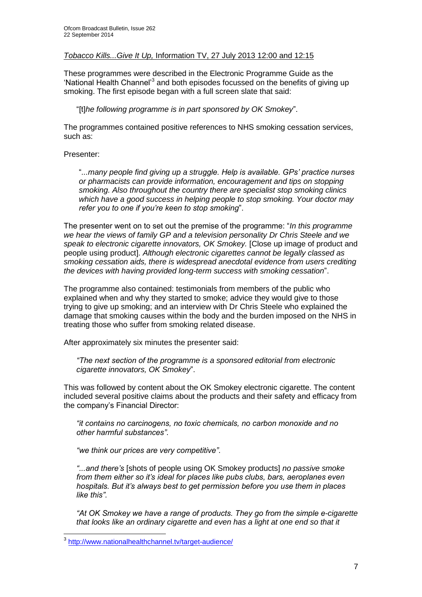# *Tobacco Kills...Give It Up,* Information TV, 27 July 2013 12:00 and 12:15

These programmes were described in the Electronic Programme Guide as the 'National Health Channel'<sup>3</sup> and both episodes focussed on the benefits of giving up smoking. The first episode began with a full screen slate that said:

"[t]*he following programme is in part sponsored by OK Smokey*".

The programmes contained positive references to NHS smoking cessation services, such as:

## Presenter:

"*...many people find giving up a struggle. Help is available. GPs' practice nurses or pharmacists can provide information, encouragement and tips on stopping smoking. Also throughout the country there are specialist stop smoking clinics which have a good success in helping people to stop smoking. Your doctor may refer you to one if you're keen to stop smoking*".

The presenter went on to set out the premise of the programme: "*In this programme we hear the views of family GP and a television personality Dr Chris Steele and we speak to electronic cigarette innovators, OK Smokey.* [Close up image of product and people using product]. *Although electronic cigarettes cannot be legally classed as smoking cessation aids, there is widespread anecdotal evidence from users crediting the devices with having provided long-term success with smoking cessation*".

The programme also contained: testimonials from members of the public who explained when and why they started to smoke; advice they would give to those trying to give up smoking; and an interview with Dr Chris Steele who explained the damage that smoking causes within the body and the burden imposed on the NHS in treating those who suffer from smoking related disease.

After approximately six minutes the presenter said:

*"The next section of the programme is a sponsored editorial from electronic cigarette innovators, OK Smokey*".

This was followed by content about the OK Smokey electronic cigarette. The content included several positive claims about the products and their safety and efficacy from the company's Financial Director:

*"it contains no carcinogens, no toxic chemicals, no carbon monoxide and no other harmful substances"*.

*"we think our prices are very competitive"*.

*"...and there's* [shots of people using OK Smokey products] *no passive smoke from them either so it's ideal for places like pubs clubs, bars, aeroplanes even hospitals. But it's always best to get permission before you use them in places like this"*.

*"At OK Smokey we have a range of products. They go from the simple e-cigarette that looks like an ordinary cigarette and even has a light at one end so that it* 

 3 <http://www.nationalhealthchannel.tv/target-audience/>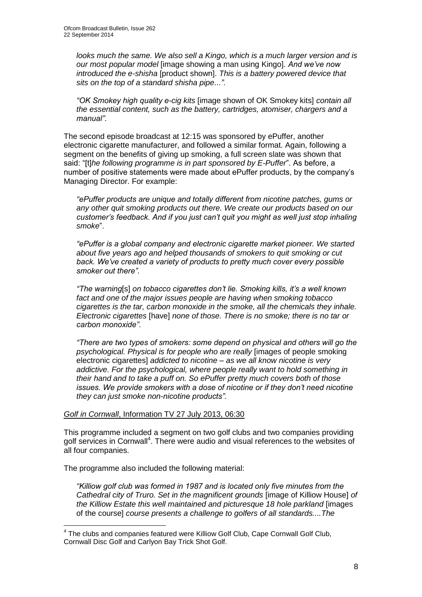*looks much the same. We also sell a Kingo, which is a much larger version and is our most popular model* [image showing a man using Kingo]. *And we've now introduced the e-shisha* [product shown]. *This is a battery powered device that sits on the top of a standard shisha pipe*...*"*.

*"OK Smokey high quality e-cig kits* [image shown of OK Smokey kits] *contain all the essential content, such as the battery, cartridges, atomiser, chargers and a manual"*.

The second episode broadcast at 12:15 was sponsored by ePuffer, another electronic cigarette manufacturer, and followed a similar format. Again, following a segment on the benefits of giving up smoking, a full screen slate was shown that said: "[t]*he following programme is in part sponsored by E-Puffer*". As before, a number of positive statements were made about ePuffer products, by the company's Managing Director. For example:

*"ePuffer products are unique and totally different from nicotine patches, gums or any other quit smoking products out there. We create our products based on our customer's feedback. And if you just can't quit you might as well just stop inhaling smoke*".

*"ePuffer is a global company and electronic cigarette market pioneer. We started about five years ago and helped thousands of smokers to quit smoking or cut back. We've created a variety of products to pretty much cover every possible smoker out there"*.

*"The warning*[s] *on tobacco cigarettes don't lie. Smoking kills, it's a well known fact and one of the major issues people are having when smoking tobacco cigarettes is the tar, carbon monoxide in the smoke, all the chemicals they inhale. Electronic cigarettes* [have] *none of those. There is no smoke; there is no tar or carbon monoxide"*.

*"There are two types of smokers: some depend on physical and others will go the psychological. Physical is for people who are really* [images of people smoking electronic cigarettes] *addicted to nicotine – as we all know nicotine is very addictive. For the psychological, where people really want to hold something in their hand and to take a puff on. So ePuffer pretty much covers both of those issues. We provide smokers with a dose of nicotine or if they don't need nicotine they can just smoke non-nicotine products".* 

#### *Golf in Cornwall*, Information TV 27 July 2013, 06:30

This programme included a segment on two golf clubs and two companies providing golf services in Cornwall<sup>4</sup>. There were audio and visual references to the websites of all four companies.

The programme also included the following material:

1

*"Killiow golf club was formed in 1987 and is located only five minutes from the Cathedral city of Truro. Set in the magnificent grounds* [image of Killiow House] *of the Killiow Estate this well maintained and picturesque 18 hole parkland* [images of the course] *course presents a challenge to golfers of all standards....The* 

<sup>&</sup>lt;sup>4</sup> The clubs and companies featured were Killiow Golf Club, Cape Cornwall Golf Club, Cornwall Disc Golf and Carlyon Bay Trick Shot Golf.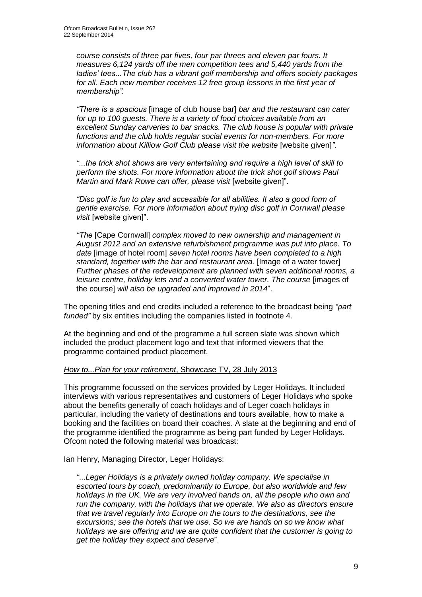*course consists of three par fives, four par threes and eleven par fours. It measures 6,124 yards off the men competition tees and 5,440 yards from the ladies' tees...The club has a vibrant golf membership and offers society packages for all. Each new member receives 12 free group lessons in the first year of membership".* 

*"There is a spacious* [image of club house bar] *bar and the restaurant can cater for up to 100 guests. There is a variety of food choices available from an excellent Sunday carveries to bar snacks. The club house is popular with private functions and the club holds regular social events for non-members. For more information about Killiow Golf Club please visit the website [website given]".* 

*"...the trick shot shows are very entertaining and require a high level of skill to perform the shots. For more information about the trick shot golf shows Paul Martin and Mark Rowe can offer, please visit* [website given]".

*"Disc golf is fun to play and accessible for all abilities. It also a good form of gentle exercise. For more information about trying disc golf in Cornwall please visit* [website given]".

*"The* [Cape Cornwall] *complex moved to new ownership and management in August 2012 and an extensive refurbishment programme was put into place. To date* [image of hotel room] *seven hotel rooms have been completed to a high standard, together with the bar and restaurant area.* [Image of a water tower] *Further phases of the redevelopment are planned with seven additional rooms, a leisure centre, holiday lets and a converted water tower. The course [images of* the course] *will also be upgraded and improved in 2014*".

The opening titles and end credits included a reference to the broadcast being *"part funded"* by six entities including the companies listed in footnote 4.

At the beginning and end of the programme a full screen slate was shown which included the product placement logo and text that informed viewers that the programme contained product placement.

# *How to...Plan for your retirement*, Showcase TV, 28 July 2013

This programme focussed on the services provided by Leger Holidays. It included interviews with various representatives and customers of Leger Holidays who spoke about the benefits generally of coach holidays and of Leger coach holidays in particular, including the variety of destinations and tours available, how to make a booking and the facilities on board their coaches. A slate at the beginning and end of the programme identified the programme as being part funded by Leger Holidays. Ofcom noted the following material was broadcast:

Ian Henry, Managing Director, Leger Holidays:

*"*...*Leger Holidays is a privately owned holiday company. We specialise in escorted tours by coach, predominantly to Europe, but also worldwide and few holidays in the UK. We are very involved hands on, all the people who own and run the company, with the holidays that we operate. We also as directors ensure that we travel regularly into Europe on the tours to the destinations, see the excursions; see the hotels that we use. So we are hands on so we know what holidays we are offering and we are quite confident that the customer is going to get the holiday they expect and deserve*".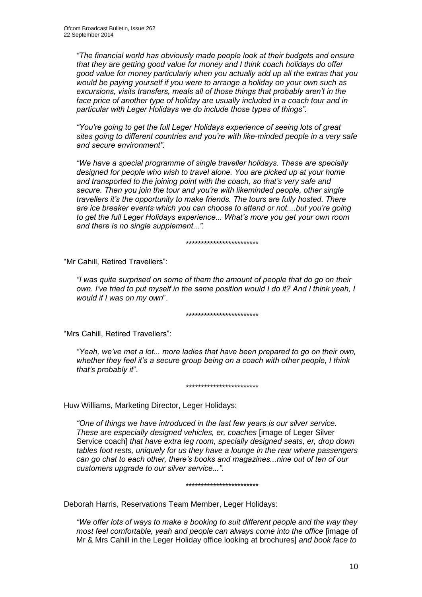*"The financial world has obviously made people look at their budgets and ensure that they are getting good value for money and I think coach holidays do offer good value for money particularly when you actually add up all the extras that you would be paying yourself if you were to arrange a holiday on your own such as excursions, visits transfers, meals all of those things that probably aren't in the face price of another type of holiday are usually included in a coach tour and in particular with Leger Holidays we do include those types of things".* 

*"You're going to get the full Leger Holidays experience of seeing lots of great sites going to different countries and you're with like-minded people in a very safe and secure environment".*

*"We have a special programme of single traveller holidays. These are specially designed for people who wish to travel alone. You are picked up at your home and transported to the joining point with the coach, so that's very safe and secure. Then you join the tour and you're with likeminded people, other single travellers it's the opportunity to make friends. The tours are fully hosted. There are ice breaker events which you can choose to attend or not....but you're going to get the full Leger Holidays experience... What's more you get your own room and there is no single supplement...".* 

\*\*\*\*\*\*\*\*\*\*\*\*\*\*\*\*\*\*\*\*\*\*\*\*

"Mr Cahill, Retired Travellers":

*"I was quite surprised on some of them the amount of people that do go on their own. I've tried to put myself in the same position would I do it? And I think yeah, I would if I was on my own*".

\*\*\*\*\*\*\*\*\*\*\*\*\*\*\*\*\*\*\*\*\*\*\*\*

"Mrs Cahill, Retired Travellers":

*"Yeah, we've met a lot... more ladies that have been prepared to go on their own, whether they feel it's a secure group being on a coach with other people, I think that's probably it*".

#### \*\*\*\*\*\*\*\*\*\*\*\*\*\*\*\*\*\*\*\*\*\*\*\*

Huw Williams, Marketing Director, Leger Holidays:

*"One of things we have introduced in the last few years is our silver service. These are especially designed vehicles, er, coaches* [image of Leger Silver Service coach] *that have extra leg room, specially designed seats, er, drop down tables foot rests, uniquely for us they have a lounge in the rear where passengers can go chat to each other, there's books and magazines...nine out of ten of our customers upgrade to our silver service...".* 

#### \*\*\*\*\*\*\*\*\*\*\*\*\*\*\*\*\*\*\*\*\*\*\*\*

Deborah Harris, Reservations Team Member, Leger Holidays:

*"We offer lots of ways to make a booking to suit different people and the way they most feel comfortable, yeah and people can always come into the office limage of* Mr & Mrs Cahill in the Leger Holiday office looking at brochures] *and book face to*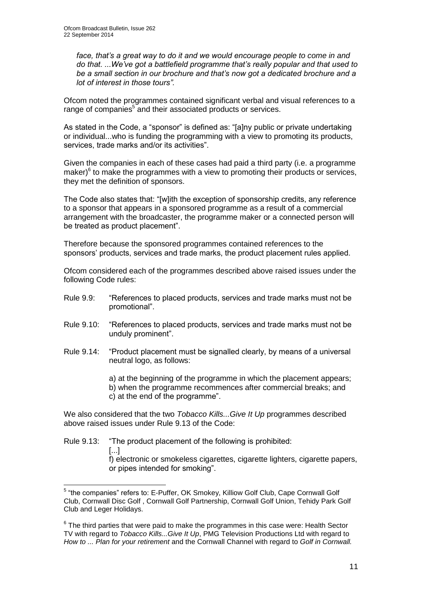*face, that's a great way to do it and we would encourage people to come in and do that. ...We've got a battlefield programme that's really popular and that used to be a small section in our brochure and that's now got a dedicated brochure and a lot of interest in those tours".* 

Ofcom noted the programmes contained significant verbal and visual references to a range of companies<sup>5</sup> and their associated products or services.

As stated in the Code, a "sponsor" is defined as: "[a]ny public or private undertaking or individual...who is funding the programming with a view to promoting its products, services, trade marks and/or its activities".

Given the companies in each of these cases had paid a third party (i.e. a programme maker) $6$  to make the programmes with a view to promoting their products or services, they met the definition of sponsors.

The Code also states that: "[w]ith the exception of sponsorship credits, any reference to a sponsor that appears in a sponsored programme as a result of a commercial arrangement with the broadcaster, the programme maker or a connected person will be treated as product placement".

Therefore because the sponsored programmes contained references to the sponsors' products, services and trade marks, the product placement rules applied.

Ofcom considered each of the programmes described above raised issues under the following Code rules:

- Rule 9.9: "References to placed products, services and trade marks must not be promotional".
- Rule 9.10: "References to placed products, services and trade marks must not be unduly prominent".
- Rule 9.14: "Product placement must be signalled clearly, by means of a universal neutral logo, as follows:

a) at the beginning of the programme in which the placement appears;

b) when the programme recommences after commercial breaks; and c) at the end of the programme".

We also considered that the two *Tobacco Kills...Give It Up* programmes described above raised issues under Rule 9.13 of the Code:

Rule 9.13: "The product placement of the following is prohibited: [...] f) electronic or smokeless cigarettes, cigarette lighters, cigarette papers, or pipes intended for smoking".

 5 "the companies" refers to: E-Puffer, OK Smokey, Killiow Golf Club, Cape Cornwall Golf Club, Cornwall Disc Golf , Cornwall Golf Partnership, Cornwall Golf Union, Tehidy Park Golf Club and Leger Holidays.

 $6$  The third parties that were paid to make the programmes in this case were: Health Sector TV with regard to *Tobacco Kills...Give It Up*, PMG Television Productions Ltd with regard to *How to ... Plan for your retirement* and the Cornwall Channel with regard to *Golf in Cornwall.*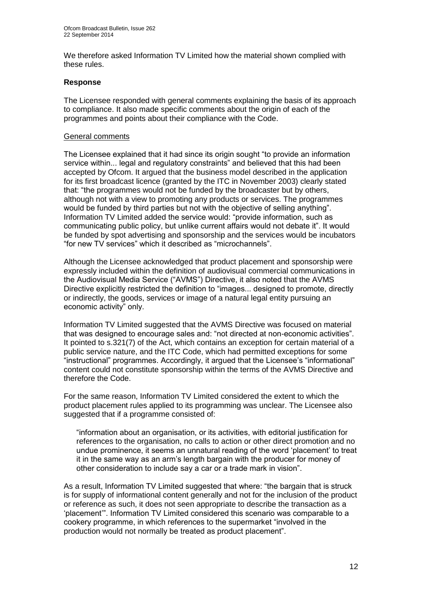We therefore asked Information TV Limited how the material shown complied with these rules.

## **Response**

The Licensee responded with general comments explaining the basis of its approach to compliance. It also made specific comments about the origin of each of the programmes and points about their compliance with the Code.

#### General comments

The Licensee explained that it had since its origin sought "to provide an information service within... legal and regulatory constraints" and believed that this had been accepted by Ofcom. It argued that the business model described in the application for its first broadcast licence (granted by the ITC in November 2003) clearly stated that: "the programmes would not be funded by the broadcaster but by others, although not with a view to promoting any products or services. The programmes would be funded by third parties but not with the objective of selling anything". Information TV Limited added the service would: "provide information, such as communicating public policy, but unlike current affairs would not debate it". It would be funded by spot advertising and sponsorship and the services would be incubators "for new TV services" which it described as "microchannels".

Although the Licensee acknowledged that product placement and sponsorship were expressly included within the definition of audiovisual commercial communications in the Audiovisual Media Service ("AVMS") Directive, it also noted that the AVMS Directive explicitly restricted the definition to "images... designed to promote, directly or indirectly, the goods, services or image of a natural legal entity pursuing an economic activity" only.

Information TV Limited suggested that the AVMS Directive was focused on material that was designed to encourage sales and: "not directed at non-economic activities". It pointed to s.321(7) of the Act, which contains an exception for certain material of a public service nature, and the ITC Code, which had permitted exceptions for some "instructional" programmes. Accordingly, it argued that the Licensee's "informational" content could not constitute sponsorship within the terms of the AVMS Directive and therefore the Code.

For the same reason, Information TV Limited considered the extent to which the product placement rules applied to its programming was unclear. The Licensee also suggested that if a programme consisted of:

"information about an organisation, or its activities, with editorial justification for references to the organisation, no calls to action or other direct promotion and no undue prominence, it seems an unnatural reading of the word 'placement' to treat it in the same way as an arm's length bargain with the producer for money of other consideration to include say a car or a trade mark in vision".

As a result, Information TV Limited suggested that where: "the bargain that is struck is for supply of informational content generally and not for the inclusion of the product or reference as such, it does not seen appropriate to describe the transaction as a 'placement'". Information TV Limited considered this scenario was comparable to a cookery programme, in which references to the supermarket "involved in the production would not normally be treated as product placement".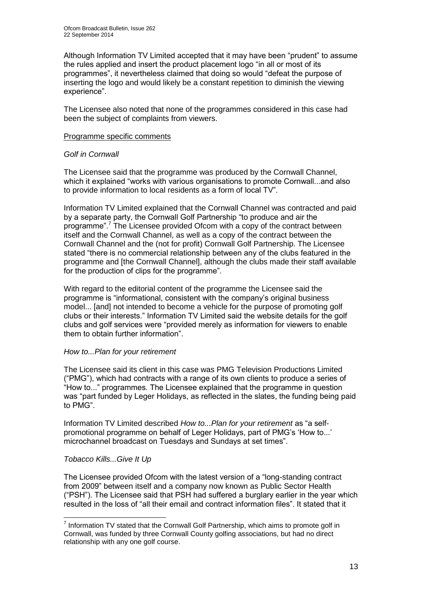Although Information TV Limited accepted that it may have been "prudent" to assume the rules applied and insert the product placement logo "in all or most of its programmes", it nevertheless claimed that doing so would "defeat the purpose of inserting the logo and would likely be a constant repetition to diminish the viewing experience".

The Licensee also noted that none of the programmes considered in this case had been the subject of complaints from viewers.

## Programme specific comments

# *Golf in Cornwall*

The Licensee said that the programme was produced by the Cornwall Channel, which it explained "works with various organisations to promote Cornwall...and also to provide information to local residents as a form of local TV".

Information TV Limited explained that the Cornwall Channel was contracted and paid by a separate party, the Cornwall Golf Partnership "to produce and air the programme".<sup>7</sup> The Licensee provided Ofcom with a copy of the contract between itself and the Cornwall Channel, as well as a copy of the contract between the Cornwall Channel and the (not for profit) Cornwall Golf Partnership. The Licensee stated "there is no commercial relationship between any of the clubs featured in the programme and [the Cornwall Channel], although the clubs made their staff available for the production of clips for the programme".

With regard to the editorial content of the programme the Licensee said the programme is "informational, consistent with the company's original business model... [and] not intended to become a vehicle for the purpose of promoting golf clubs or their interests." Information TV Limited said the website details for the golf clubs and golf services were "provided merely as information for viewers to enable them to obtain further information".

#### *How to...Plan for your retirement*

The Licensee said its client in this case was PMG Television Productions Limited ("PMG"), which had contracts with a range of its own clients to produce a series of "How to..." programmes. The Licensee explained that the programme in question was "part funded by Leger Holidays, as reflected in the slates, the funding being paid to PMG".

Information TV Limited described *How to...Plan for your retirement* as "a selfpromotional programme on behalf of Leger Holidays, part of PMG's 'How to...' microchannel broadcast on Tuesdays and Sundays at set times".

# *Tobacco Kills...Give It Up*

The Licensee provided Ofcom with the latest version of a "long-standing contract from 2009" between itself and a company now known as Public Sector Health ("PSH"). The Licensee said that PSH had suffered a burglary earlier in the year which resulted in the loss of "all their email and contract information files". It stated that it

<sup>1</sup>  $<sup>7</sup>$  Information TV stated that the Cornwall Golf Partnership, which aims to promote golf in</sup> Cornwall, was funded by three Cornwall County golfing associations, but had no direct relationship with any one golf course.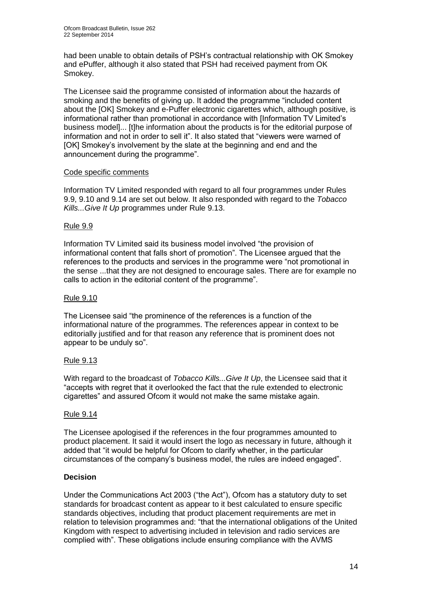had been unable to obtain details of PSH's contractual relationship with OK Smokey and ePuffer, although it also stated that PSH had received payment from OK Smokey.

The Licensee said the programme consisted of information about the hazards of smoking and the benefits of giving up. It added the programme "included content about the [OK] Smokey and e-Puffer electronic cigarettes which, although positive, is informational rather than promotional in accordance with [Information TV Limited's business model]... [t]he information about the products is for the editorial purpose of information and not in order to sell it". It also stated that "viewers were warned of [OK] Smokey's involvement by the slate at the beginning and end and the announcement during the programme".

# Code specific comments

Information TV Limited responded with regard to all four programmes under Rules 9.9, 9.10 and 9.14 are set out below. It also responded with regard to the *Tobacco Kills...Give It Up* programmes under Rule 9.13.

# Rule 9.9

Information TV Limited said its business model involved "the provision of informational content that falls short of promotion". The Licensee argued that the references to the products and services in the programme were "not promotional in the sense ...that they are not designed to encourage sales. There are for example no calls to action in the editorial content of the programme".

# Rule 9.10

The Licensee said "the prominence of the references is a function of the informational nature of the programmes. The references appear in context to be editorially justified and for that reason any reference that is prominent does not appear to be unduly so".

# Rule 9.13

With regard to the broadcast of *Tobacco Kills...Give It Up*, the Licensee said that it "accepts with regret that it overlooked the fact that the rule extended to electronic cigarettes" and assured Ofcom it would not make the same mistake again.

# Rule 9.14

The Licensee apologised if the references in the four programmes amounted to product placement. It said it would insert the logo as necessary in future, although it added that "it would be helpful for Ofcom to clarify whether, in the particular circumstances of the company's business model, the rules are indeed engaged".

# **Decision**

Under the Communications Act 2003 ("the Act"), Ofcom has a statutory duty to set standards for broadcast content as appear to it best calculated to ensure specific standards objectives, including that product placement requirements are met in relation to television programmes and: "that the international obligations of the United Kingdom with respect to advertising included in television and radio services are complied with". These obligations include ensuring compliance with the AVMS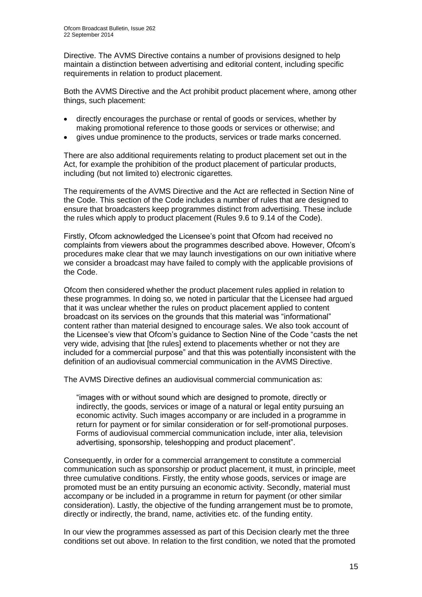Directive. The AVMS Directive contains a number of provisions designed to help maintain a distinction between advertising and editorial content, including specific requirements in relation to product placement.

Both the AVMS Directive and the Act prohibit product placement where, among other things, such placement:

- directly encourages the purchase or rental of goods or services, whether by making promotional reference to those goods or services or otherwise; and
- gives undue prominence to the products, services or trade marks concerned.

There are also additional requirements relating to product placement set out in the Act, for example the prohibition of the product placement of particular products, including (but not limited to) electronic cigarettes.

The requirements of the AVMS Directive and the Act are reflected in Section Nine of the Code. This section of the Code includes a number of rules that are designed to ensure that broadcasters keep programmes distinct from advertising. These include the rules which apply to product placement (Rules 9.6 to 9.14 of the Code).

Firstly, Ofcom acknowledged the Licensee's point that Ofcom had received no complaints from viewers about the programmes described above. However, Ofcom's procedures make clear that we may launch investigations on our own initiative where we consider a broadcast may have failed to comply with the applicable provisions of the Code.

Ofcom then considered whether the product placement rules applied in relation to these programmes. In doing so, we noted in particular that the Licensee had argued that it was unclear whether the rules on product placement applied to content broadcast on its services on the grounds that this material was "informational" content rather than material designed to encourage sales. We also took account of the Licensee's view that Ofcom's guidance to Section Nine of the Code "casts the net very wide, advising that [the rules] extend to placements whether or not they are included for a commercial purpose" and that this was potentially inconsistent with the definition of an audiovisual commercial communication in the AVMS Directive.

The AVMS Directive defines an audiovisual commercial communication as:

"images with or without sound which are designed to promote, directly or indirectly, the goods, services or image of a natural or legal entity pursuing an economic activity. Such images accompany or are included in a programme in return for payment or for similar consideration or for self-promotional purposes. Forms of audiovisual commercial communication include, inter alia, television advertising, sponsorship, teleshopping and product placement".

Consequently, in order for a commercial arrangement to constitute a commercial communication such as sponsorship or product placement, it must, in principle, meet three cumulative conditions. Firstly, the entity whose goods, services or image are promoted must be an entity pursuing an economic activity. Secondly, material must accompany or be included in a programme in return for payment (or other similar consideration). Lastly, the objective of the funding arrangement must be to promote, directly or indirectly, the brand, name, activities etc. of the funding entity.

In our view the programmes assessed as part of this Decision clearly met the three conditions set out above. In relation to the first condition, we noted that the promoted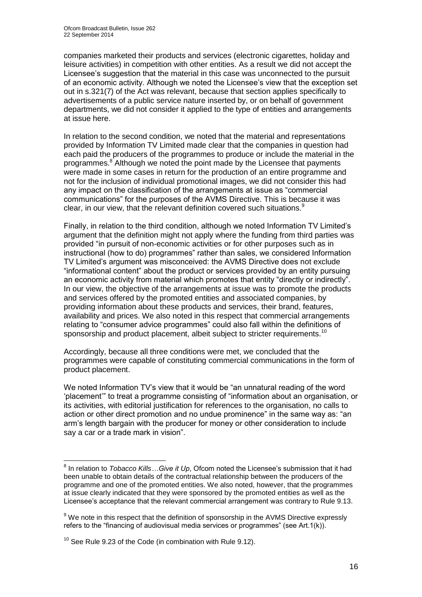companies marketed their products and services (electronic cigarettes, holiday and leisure activities) in competition with other entities. As a result we did not accept the Licensee's suggestion that the material in this case was unconnected to the pursuit of an economic activity. Although we noted the Licensee's view that the exception set out in s.321(7) of the Act was relevant, because that section applies specifically to advertisements of a public service nature inserted by, or on behalf of government departments, we did not consider it applied to the type of entities and arrangements at issue here.

In relation to the second condition, we noted that the material and representations provided by Information TV Limited made clear that the companies in question had each paid the producers of the programmes to produce or include the material in the programmes.<sup>8</sup> Although we noted the point made by the Licensee that payments were made in some cases in return for the production of an entire programme and not for the inclusion of individual promotional images, we did not consider this had any impact on the classification of the arrangements at issue as "commercial communications" for the purposes of the AVMS Directive. This is because it was clear, in our view, that the relevant definition covered such situations.<sup>9</sup>

Finally, in relation to the third condition, although we noted Information TV Limited's argument that the definition might not apply where the funding from third parties was provided "in pursuit of non-economic activities or for other purposes such as in instructional (how to do) programmes" rather than sales, we considered Information TV Limited's argument was misconceived: the AVMS Directive does not exclude "informational content" about the product or services provided by an entity pursuing an economic activity from material which promotes that entity "directly or indirectly". In our view, the objective of the arrangements at issue was to promote the products and services offered by the promoted entities and associated companies, by providing information about these products and services, their brand, features, availability and prices. We also noted in this respect that commercial arrangements relating to "consumer advice programmes" could also fall within the definitions of sponsorship and product placement, albeit subject to stricter requirements.<sup>10</sup>

Accordingly, because all three conditions were met, we concluded that the programmes were capable of constituting commercial communications in the form of product placement.

We noted Information TV's view that it would be "an unnatural reading of the word 'placement'" to treat a programme consisting of "information about an organisation, or its activities, with editorial justification for references to the organisation, no calls to action or other direct promotion and no undue prominence" in the same way as: "an arm's length bargain with the producer for money or other consideration to include say a car or a trade mark in vision".

<sup>&</sup>lt;sup>8</sup> In relation to *Tobacco Kills...Give it Up*, Ofcom noted the Licensee's submission that it had been unable to obtain details of the contractual relationship between the producers of the programme and one of the promoted entities. We also noted, however, that the programmes at issue clearly indicated that they were sponsored by the promoted entities as well as the Licensee's acceptance that the relevant commercial arrangement was contrary to Rule 9.13.

 $9$  We note in this respect that the definition of sponsorship in the AVMS Directive expressly refers to the "financing of audiovisual media services or programmes" (see Art.1(k)).

 $10$  See Rule 9.23 of the Code (in combination with Rule 9.12).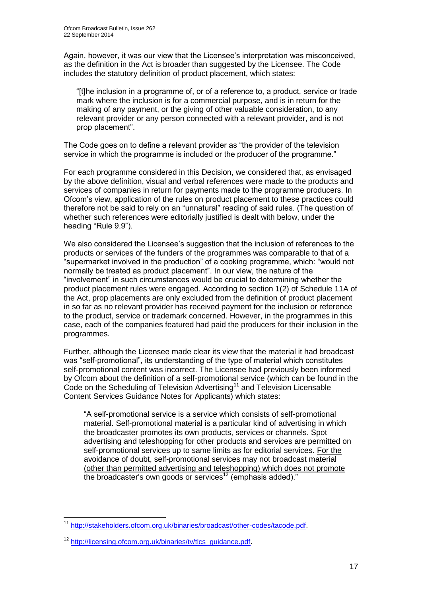Again, however, it was our view that the Licensee's interpretation was misconceived, as the definition in the Act is broader than suggested by the Licensee. The Code includes the statutory definition of product placement, which states:

"[t]he inclusion in a programme of, or of a reference to, a product, service or trade mark where the inclusion is for a commercial purpose, and is in return for the making of any payment, or the giving of other valuable consideration, to any relevant provider or any person connected with a relevant provider, and is not prop placement".

The Code goes on to define a relevant provider as "the provider of the television service in which the programme is included or the producer of the programme."

For each programme considered in this Decision, we considered that, as envisaged by the above definition, visual and verbal references were made to the products and services of companies in return for payments made to the programme producers. In Ofcom's view, application of the rules on product placement to these practices could therefore not be said to rely on an "unnatural" reading of said rules. (The question of whether such references were editorially justified is dealt with below, under the heading "Rule 9.9").

We also considered the Licensee's suggestion that the inclusion of references to the products or services of the funders of the programmes was comparable to that of a "supermarket involved in the production" of a cooking programme, which: "would not normally be treated as product placement". In our view, the nature of the "involvement" in such circumstances would be crucial to determining whether the product placement rules were engaged. According to section 1(2) of Schedule 11A of the Act, prop placements are only excluded from the definition of product placement in so far as no relevant provider has received payment for the inclusion or reference to the product, service or trademark concerned. However, in the programmes in this case, each of the companies featured had paid the producers for their inclusion in the programmes.

Further, although the Licensee made clear its view that the material it had broadcast was "self-promotional", its understanding of the type of material which constitutes self-promotional content was incorrect. The Licensee had previously been informed by Ofcom about the definition of a self-promotional service (which can be found in the Code on the Scheduling of Television Advertising<sup>11</sup> and Television Licensable Content Services Guidance Notes for Applicants) which states:

"A self-promotional service is a service which consists of self-promotional material. Self-promotional material is a particular kind of advertising in which the broadcaster promotes its own products, services or channels. Spot advertising and teleshopping for other products and services are permitted on self-promotional services up to same limits as for editorial services. For the avoidance of doubt, self-promotional services may not broadcast material (other than permitted advertising and teleshopping) which does not promote the broadcaster's own goods or services<sup>12</sup> (emphasis added)."

<sup>1</sup> <sup>11</sup> [http://stakeholders.ofcom.org.uk/binaries/broadcast/other-codes/tacode.pdf.](http://stakeholders.ofcom.org.uk/binaries/broadcast/other-codes/tacode.pdf)

<sup>&</sup>lt;sup>12</sup> [http://licensing.ofcom.org.uk/binaries/tv/tlcs\\_guidance.pdf.](http://licensing.ofcom.org.uk/binaries/tv/tlcs_guidance.pdf)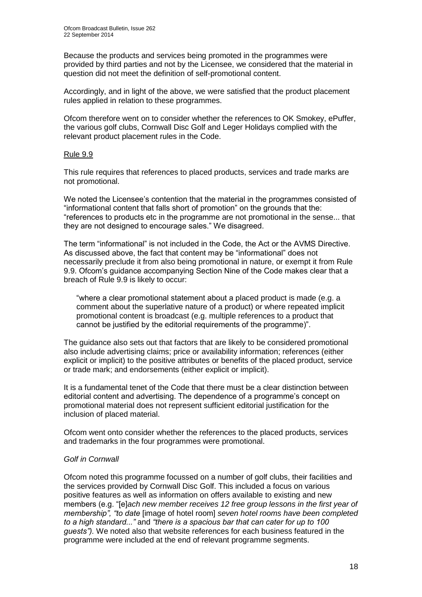Because the products and services being promoted in the programmes were provided by third parties and not by the Licensee, we considered that the material in question did not meet the definition of self-promotional content.

Accordingly, and in light of the above, we were satisfied that the product placement rules applied in relation to these programmes.

Ofcom therefore went on to consider whether the references to OK Smokey, ePuffer, the various golf clubs, Cornwall Disc Golf and Leger Holidays complied with the relevant product placement rules in the Code.

# Rule 9.9

This rule requires that references to placed products, services and trade marks are not promotional.

We noted the Licensee's contention that the material in the programmes consisted of "informational content that falls short of promotion" on the grounds that the: "references to products etc in the programme are not promotional in the sense... that they are not designed to encourage sales." We disagreed.

The term "informational" is not included in the Code, the Act or the AVMS Directive. As discussed above, the fact that content may be "informational" does not necessarily preclude it from also being promotional in nature, or exempt it from Rule 9.9. Ofcom's guidance accompanying Section Nine of the Code makes clear that a breach of Rule 9.9 is likely to occur:

"where a clear promotional statement about a placed product is made (e.g. a comment about the superlative nature of a product) or where repeated implicit promotional content is broadcast (e.g. multiple references to a product that cannot be justified by the editorial requirements of the programme)".

The guidance also sets out that factors that are likely to be considered promotional also include advertising claims; price or availability information; references (either explicit or implicit) to the positive attributes or benefits of the placed product, service or trade mark; and endorsements (either explicit or implicit).

It is a fundamental tenet of the Code that there must be a clear distinction between editorial content and advertising. The dependence of a programme's concept on promotional material does not represent sufficient editorial justification for the inclusion of placed material.

Ofcom went onto consider whether the references to the placed products, services and trademarks in the four programmes were promotional.

# *Golf in Cornwall*

Ofcom noted this programme focussed on a number of golf clubs, their facilities and the services provided by Cornwall Disc Golf. This included a focus on various positive features as well as information on offers available to existing and new members (e.g. "[e]*ach new member receives 12 free group lessons in the first year of membership", "to date* [image of hotel room] *seven hotel rooms have been completed to a high standard..."* and *"there is a spacious bar that can cater for up to 100 guests").* We noted also that website references for each business featured in the programme were included at the end of relevant programme segments.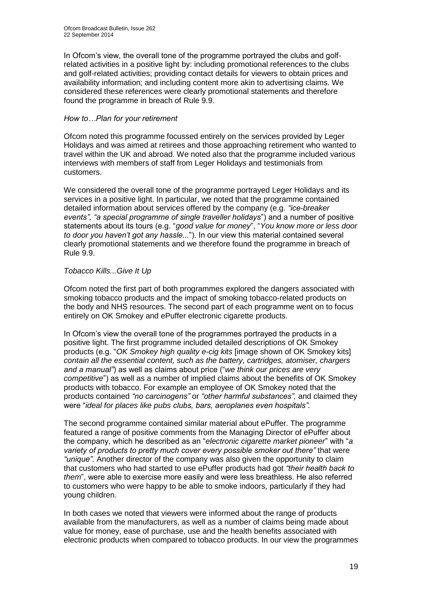In Ofcom's view, the overall tone of the programme portrayed the clubs and golfrelated activities in a positive light by: including promotional references to the clubs and golf-related activities; providing contact details for viewers to obtain prices and availability information; and including content more akin to advertising claims. We considered these references were clearly promotional statements and therefore found the programme in breach of Rule 9.9.

# *How to…Plan for your retirement*

Ofcom noted this programme focussed entirely on the services provided by Leger Holidays and was aimed at retirees and those approaching retirement who wanted to travel within the UK and abroad. We noted also that the programme included various interviews with members of staff from Leger Holidays and testimonials from customers.

We considered the overall tone of the programme portrayed Leger Holidays and its services in a positive light. In particular, we noted that the programme contained detailed information about services offered by the company (e.g. *"ice-breaker events", "a special programme of single traveller holidays*") and a number of positive statements about its tours (e.g. "*good value for money*", "*You know more or less door to door you haven't got any hassle...*"). In our view this material contained several clearly promotional statements and we therefore found the programme in breach of Rule 9.9.

# *Tobacco Kills...Give It Up*

Ofcom noted the first part of both programmes explored the dangers associated with smoking tobacco products and the impact of smoking tobacco-related products on the body and NHS resources. The second part of each programme went on to focus entirely on OK Smokey and ePuffer electronic cigarette products.

In Ofcom's view the overall tone of the programmes portrayed the products in a positive light. The first programme included detailed descriptions of OK Smokey products (e.g. "*OK Smokey high quality e-cig kits* [image shown of OK Smokey kits] *contain all the essential content, such as the battery, cartridges, atomiser, chargers and a manual"*) as well as claims about price ("*we think our prices are very competitive*") as well as a number of implied claims about the benefits of OK Smokey products with tobacco. For example an employee of OK Smokey noted that the products contained *"no carcinogens"* or *"other harmful substances",* and claimed they were "*ideal for places like pubs clubs, bars, aeroplanes even hospitals".* 

The second programme contained similar material about ePuffer. The programme featured a range of positive comments from the Managing Director of ePuffer about the company, which he described as an "*electronic cigarette market pioneer*" with "*a variety of products to pretty much cover every possible smoker out there"* that were *"unique".* Another director of the company was also given the opportunity to claim that customers who had started to use ePuffer products had got *"their health back to them*", were able to exercise more easily and were less breathless. He also referred to customers who were happy to be able to smoke indoors, particularly if they had young children.

In both cases we noted that viewers were informed about the range of products available from the manufacturers, as well as a number of claims being made about value for money, ease of purchase, use and the health benefits associated with electronic products when compared to tobacco products. In our view the programmes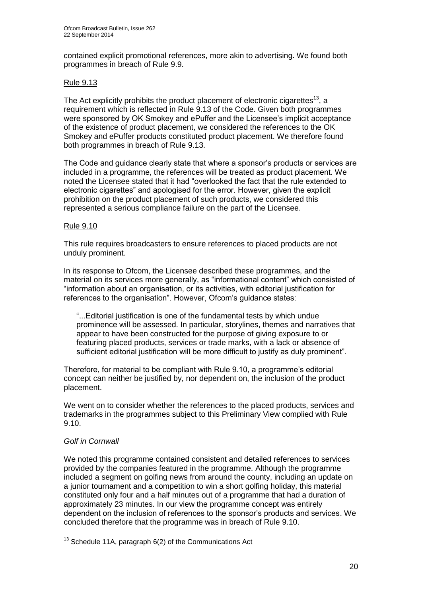contained explicit promotional references, more akin to advertising. We found both programmes in breach of Rule 9.9.

# Rule 9.13

The Act explicitly prohibits the product placement of electronic cigarettes<sup>13</sup>, a requirement which is reflected in Rule 9.13 of the Code. Given both programmes were sponsored by OK Smokey and ePuffer and the Licensee's implicit acceptance of the existence of product placement, we considered the references to the OK Smokey and ePuffer products constituted product placement. We therefore found both programmes in breach of Rule 9.13.

The Code and guidance clearly state that where a sponsor's products or services are included in a programme, the references will be treated as product placement. We noted the Licensee stated that it had "overlooked the fact that the rule extended to electronic cigarettes" and apologised for the error. However, given the explicit prohibition on the product placement of such products, we considered this represented a serious compliance failure on the part of the Licensee.

# Rule 9.10

This rule requires broadcasters to ensure references to placed products are not unduly prominent.

In its response to Ofcom, the Licensee described these programmes, and the material on its services more generally, as "informational content" which consisted of "information about an organisation, or its activities, with editorial justification for references to the organisation". However, Ofcom's guidance states:

"...Editorial justification is one of the fundamental tests by which undue prominence will be assessed. In particular, storylines, themes and narratives that appear to have been constructed for the purpose of giving exposure to or featuring placed products, services or trade marks, with a lack or absence of sufficient editorial justification will be more difficult to justify as duly prominent".

Therefore, for material to be compliant with Rule 9.10, a programme's editorial concept can neither be justified by, nor dependent on, the inclusion of the product placement.

We went on to consider whether the references to the placed products, services and trademarks in the programmes subject to this Preliminary View complied with Rule 9.10.

# *Golf in Cornwall*

1

We noted this programme contained consistent and detailed references to services provided by the companies featured in the programme. Although the programme included a segment on golfing news from around the county, including an update on a junior tournament and a competition to win a short golfing holiday, this material constituted only four and a half minutes out of a programme that had a duration of approximately 23 minutes. In our view the programme concept was entirely dependent on the inclusion of references to the sponsor's products and services. We concluded therefore that the programme was in breach of Rule 9.10.

 $13$  Schedule 11A, paragraph 6(2) of the Communications Act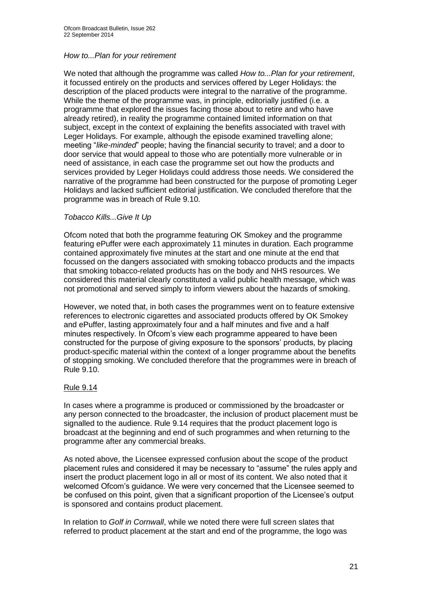# *How to...Plan for your retirement*

We noted that although the programme was called *How to...Plan for your retirement*, it focussed entirely on the products and services offered by Leger Holidays: the description of the placed products were integral to the narrative of the programme. While the theme of the programme was, in principle, editorially justified (i.e. a programme that explored the issues facing those about to retire and who have already retired), in reality the programme contained limited information on that subject, except in the context of explaining the benefits associated with travel with Leger Holidays. For example, although the episode examined travelling alone; meeting "*like-minded*" people; having the financial security to travel; and a door to door service that would appeal to those who are potentially more vulnerable or in need of assistance, in each case the programme set out how the products and services provided by Leger Holidays could address those needs. We considered the narrative of the programme had been constructed for the purpose of promoting Leger Holidays and lacked sufficient editorial justification. We concluded therefore that the programme was in breach of Rule 9.10.

## *Tobacco Kills...Give It Up*

Ofcom noted that both the programme featuring OK Smokey and the programme featuring ePuffer were each approximately 11 minutes in duration. Each programme contained approximately five minutes at the start and one minute at the end that focussed on the dangers associated with smoking tobacco products and the impacts that smoking tobacco-related products has on the body and NHS resources. We considered this material clearly constituted a valid public health message, which was not promotional and served simply to inform viewers about the hazards of smoking.

However, we noted that, in both cases the programmes went on to feature extensive references to electronic cigarettes and associated products offered by OK Smokey and ePuffer, lasting approximately four and a half minutes and five and a half minutes respectively. In Ofcom's view each programme appeared to have been constructed for the purpose of giving exposure to the sponsors' products, by placing product-specific material within the context of a longer programme about the benefits of stopping smoking. We concluded therefore that the programmes were in breach of Rule 9.10.

# Rule 9.14

In cases where a programme is produced or commissioned by the broadcaster or any person connected to the broadcaster, the inclusion of product placement must be signalled to the audience. Rule 9.14 requires that the product placement logo is broadcast at the beginning and end of such programmes and when returning to the programme after any commercial breaks.

As noted above, the Licensee expressed confusion about the scope of the product placement rules and considered it may be necessary to "assume" the rules apply and insert the product placement logo in all or most of its content. We also noted that it welcomed Ofcom's guidance. We were very concerned that the Licensee seemed to be confused on this point, given that a significant proportion of the Licensee's output is sponsored and contains product placement.

In relation to *Golf in Cornwall*, while we noted there were full screen slates that referred to product placement at the start and end of the programme, the logo was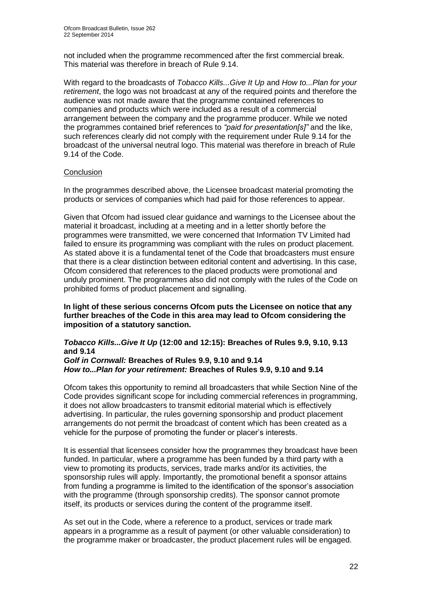not included when the programme recommenced after the first commercial break. This material was therefore in breach of Rule 9.14.

With regard to the broadcasts of *Tobacco Kills...Give It Up* and *How to...Plan for your retirement*, the logo was not broadcast at any of the required points and therefore the audience was not made aware that the programme contained references to companies and products which were included as a result of a commercial arrangement between the company and the programme producer. While we noted the programmes contained brief references to *"paid for presentation[s]"* and the like, such references clearly did not comply with the requirement under Rule 9.14 for the broadcast of the universal neutral logo. This material was therefore in breach of Rule 9.14 of the Code.

# **Conclusion**

In the programmes described above, the Licensee broadcast material promoting the products or services of companies which had paid for those references to appear.

Given that Ofcom had issued clear guidance and warnings to the Licensee about the material it broadcast, including at a meeting and in a letter shortly before the programmes were transmitted, we were concerned that Information TV Limited had failed to ensure its programming was compliant with the rules on product placement. As stated above it is a fundamental tenet of the Code that broadcasters must ensure that there is a clear distinction between editorial content and advertising. In this case, Ofcom considered that references to the placed products were promotional and unduly prominent. The programmes also did not comply with the rules of the Code on prohibited forms of product placement and signalling.

**In light of these serious concerns Ofcom puts the Licensee on notice that any further breaches of the Code in this area may lead to Ofcom considering the imposition of a statutory sanction.**

# *Tobacco Kills...Give It Up* **(12:00 and 12:15): Breaches of Rules 9.9, 9.10, 9.13 and 9.14**

#### *Golf in Cornwall:* **Breaches of Rules 9.9, 9.10 and 9.14** *How to...Plan for your retirement:* **Breaches of Rules 9.9, 9.10 and 9.14**

Ofcom takes this opportunity to remind all broadcasters that while Section Nine of the Code provides significant scope for including commercial references in programming, it does not allow broadcasters to transmit editorial material which is effectively advertising. In particular, the rules governing sponsorship and product placement arrangements do not permit the broadcast of content which has been created as a vehicle for the purpose of promoting the funder or placer's interests.

It is essential that licensees consider how the programmes they broadcast have been funded. In particular, where a programme has been funded by a third party with a view to promoting its products, services, trade marks and/or its activities, the sponsorship rules will apply. Importantly, the promotional benefit a sponsor attains from funding a programme is limited to the identification of the sponsor's association with the programme (through sponsorship credits). The sponsor cannot promote itself, its products or services during the content of the programme itself.

As set out in the Code, where a reference to a product, services or trade mark appears in a programme as a result of payment (or other valuable consideration) to the programme maker or broadcaster, the product placement rules will be engaged.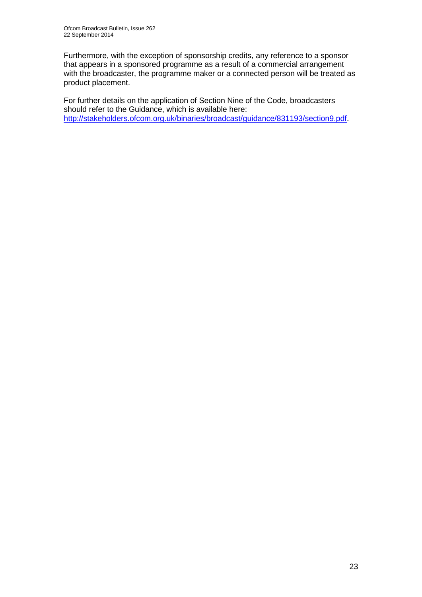Furthermore, with the exception of sponsorship credits, any reference to a sponsor that appears in a sponsored programme as a result of a commercial arrangement with the broadcaster, the programme maker or a connected person will be treated as product placement.

For further details on the application of Section Nine of the Code, broadcasters should refer to the Guidance, which is available here: [http://stakeholders.ofcom.org.uk/binaries/broadcast/guidance/831193/section9.pdf.](http://stakeholders.ofcom.org.uk/binaries/broadcast/guidance/831193/section9.pdf)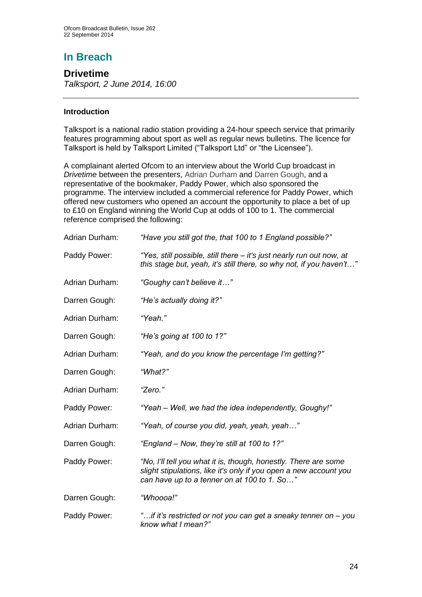# **In Breach**

# **Drivetime**

*Talksport, 2 June 2014, 16:00*

# **Introduction**

Talksport is a national radio station providing a 24-hour speech service that primarily features programming about sport as well as regular news bulletins. The licence for Talksport is held by Talksport Limited ("Talksport Ltd" or "the Licensee").

A complainant alerted Ofcom to an interview about the World Cup broadcast in *Drivetime* between the presenters, Adrian Durham and Darren Gough, and a representative of the bookmaker, Paddy Power, which also sponsored the programme. The interview included a commercial reference for Paddy Power, which offered new customers who opened an account the opportunity to place a bet of up to £10 on England winning the World Cup at odds of 100 to 1. The commercial reference comprised the following:

| Adrian Durham: | "Have you still got the, that 100 to 1 England possible?"                                                                                                                           |
|----------------|-------------------------------------------------------------------------------------------------------------------------------------------------------------------------------------|
| Paddy Power:   | "Yes, still possible, still there – it's just nearly run out now, at<br>this stage but, yeah, it's still there, so why not, if you haven't"                                         |
| Adrian Durham: | "Goughy can't believe it"                                                                                                                                                           |
| Darren Gough:  | "He's actually doing it?"                                                                                                                                                           |
| Adrian Durham: | "Yeah."                                                                                                                                                                             |
| Darren Gough:  | "He's going at 100 to 1?"                                                                                                                                                           |
| Adrian Durham: | "Yeah, and do you know the percentage I'm getting?"                                                                                                                                 |
| Darren Gough:  | "What?"                                                                                                                                                                             |
| Adrian Durham: | "Zero."                                                                                                                                                                             |
| Paddy Power:   | "Yeah – Well, we had the idea independently, Goughy!"                                                                                                                               |
| Adrian Durham: | "Yeah, of course you did, yeah, yeah, yeah"                                                                                                                                         |
| Darren Gough:  | "England – Now, they're still at 100 to 1?"                                                                                                                                         |
| Paddy Power:   | "No, I'll tell you what it is, though, honestly. There are some<br>slight stipulations, like it's only if you open a new account you<br>can have up to a tenner on at 100 to 1. So" |
| Darren Gough:  | "Whoooa!"                                                                                                                                                                           |
| Paddy Power:   | "if it's restricted or not you can get a sneaky tenner on – you<br>know what I mean?"                                                                                               |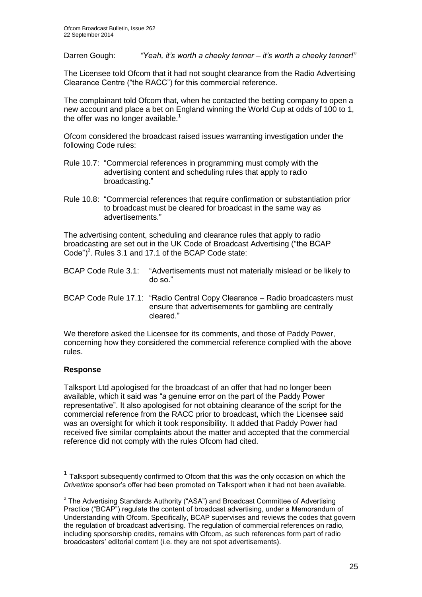Darren Gough: *"Yeah, it's worth a cheeky tenner – it's worth a cheeky tenner!"*

The Licensee told Ofcom that it had not sought clearance from the Radio Advertising Clearance Centre ("the RACC") for this commercial reference.

The complainant told Ofcom that, when he contacted the betting company to open a new account and place a bet on England winning the World Cup at odds of 100 to 1, the offer was no longer available.<sup>1</sup>

Ofcom considered the broadcast raised issues warranting investigation under the following Code rules:

- Rule 10.7: "Commercial references in programming must comply with the advertising content and scheduling rules that apply to radio broadcasting."
- Rule 10.8: "Commercial references that require confirmation or substantiation prior to broadcast must be cleared for broadcast in the same way as advertisements."

The advertising content, scheduling and clearance rules that apply to radio broadcasting are set out in the UK Code of Broadcast Advertising ("the BCAP Code" $)^2$ . Rules 3.1 and 17.1 of the BCAP Code state:

| BCAP Code Rule 3.1: "Advertisements must not materially mislead or be likely to<br>$do$ so."                                                       |
|----------------------------------------------------------------------------------------------------------------------------------------------------|
| BCAP Code Rule 17.1: "Radio Central Copy Clearance - Radio broadcasters must<br>ensure that advertisements for gambling are centrally<br>cleared." |

We therefore asked the Licensee for its comments, and those of Paddy Power, concerning how they considered the commercial reference complied with the above rules.

# **Response**

1

Talksport Ltd apologised for the broadcast of an offer that had no longer been available, which it said was "a genuine error on the part of the Paddy Power representative". It also apologised for not obtaining clearance of the script for the commercial reference from the RACC prior to broadcast, which the Licensee said was an oversight for which it took responsibility. It added that Paddy Power had received five similar complaints about the matter and accepted that the commercial reference did not comply with the rules Ofcom had cited.

<sup>1</sup> Talksport subsequently confirmed to Ofcom that this was the only occasion on which the *Drivetime* sponsor's offer had been promoted on Talksport when it had not been available.

 $2$  The Advertising Standards Authority ("ASA") and Broadcast Committee of Advertising Practice ("BCAP") regulate the content of broadcast advertising, under a Memorandum of Understanding with Ofcom. Specifically, BCAP supervises and reviews the codes that govern the regulation of broadcast advertising. The regulation of commercial references on radio, including sponsorship credits, remains with Ofcom, as such references form part of radio broadcasters' editorial content (i.e. they are not spot advertisements).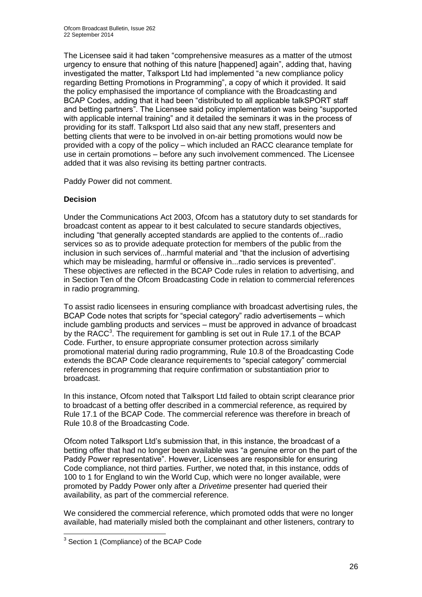The Licensee said it had taken "comprehensive measures as a matter of the utmost urgency to ensure that nothing of this nature [happened] again", adding that, having investigated the matter, Talksport Ltd had implemented "a new compliance policy regarding Betting Promotions in Programming", a copy of which it provided. It said the policy emphasised the importance of compliance with the Broadcasting and BCAP Codes, adding that it had been "distributed to all applicable talkSPORT staff and betting partners". The Licensee said policy implementation was being "supported with applicable internal training" and it detailed the seminars it was in the process of providing for its staff. Talksport Ltd also said that any new staff, presenters and betting clients that were to be involved in on-air betting promotions would now be provided with a copy of the policy – which included an RACC clearance template for use in certain promotions – before any such involvement commenced. The Licensee added that it was also revising its betting partner contracts.

Paddy Power did not comment.

# **Decision**

Under the Communications Act 2003, Ofcom has a statutory duty to set standards for broadcast content as appear to it best calculated to secure standards objectives, including "that generally accepted standards are applied to the contents of...radio services so as to provide adequate protection for members of the public from the inclusion in such services of...harmful material and "that the inclusion of advertising which may be misleading, harmful or offensive in...radio services is prevented". These objectives are reflected in the BCAP Code rules in relation to advertising, and in Section Ten of the Ofcom Broadcasting Code in relation to commercial references in radio programming.

To assist radio licensees in ensuring compliance with broadcast advertising rules, the BCAP Code notes that scripts for "special category" radio advertisements – which include gambling products and services – must be approved in advance of broadcast by the RACC<sup>3</sup>. The requirement for gambling is set out in Rule 17.1 of the BCAP Code. Further, to ensure appropriate consumer protection across similarly promotional material during radio programming, Rule 10.8 of the Broadcasting Code extends the BCAP Code clearance requirements to "special category" commercial references in programming that require confirmation or substantiation prior to broadcast.

In this instance, Ofcom noted that Talksport Ltd failed to obtain script clearance prior to broadcast of a betting offer described in a commercial reference, as required by Rule 17.1 of the BCAP Code. The commercial reference was therefore in breach of Rule 10.8 of the Broadcasting Code.

Ofcom noted Talksport Ltd's submission that, in this instance, the broadcast of a betting offer that had no longer been available was "a genuine error on the part of the Paddy Power representative". However, Licensees are responsible for ensuring Code compliance, not third parties. Further, we noted that, in this instance, odds of 100 to 1 for England to win the World Cup, which were no longer available, were promoted by Paddy Power only after a *Drivetime* presenter had queried their availability, as part of the commercial reference.

We considered the commercial reference, which promoted odds that were no longer available, had materially misled both the complainant and other listeners, contrary to

 3 Section 1 (Compliance) of the BCAP Code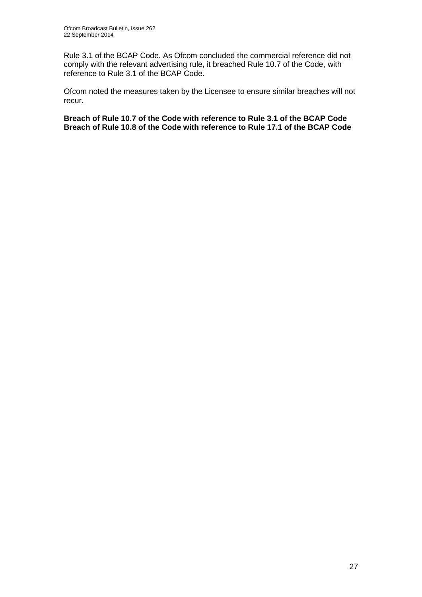Rule 3.1 of the BCAP Code. As Ofcom concluded the commercial reference did not comply with the relevant advertising rule, it breached Rule 10.7 of the Code, with reference to Rule 3.1 of the BCAP Code.

Ofcom noted the measures taken by the Licensee to ensure similar breaches will not recur.

**Breach of Rule 10.7 of the Code with reference to Rule 3.1 of the BCAP Code Breach of Rule 10.8 of the Code with reference to Rule 17.1 of the BCAP Code**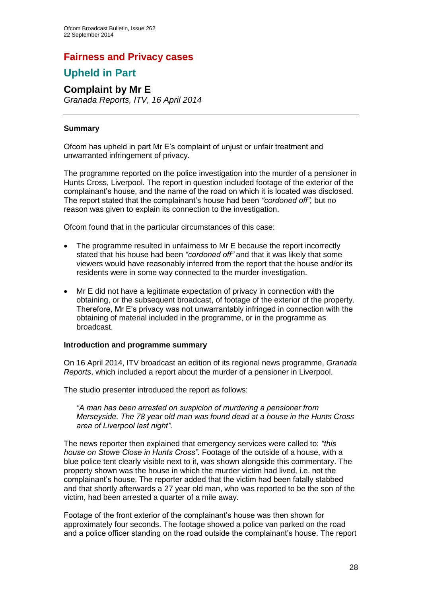# **Fairness and Privacy cases**

# **Upheld in Part**

## **Complaint by Mr E** *Granada Reports, ITV, 16 April 2014*

# **Summary**

Ofcom has upheld in part Mr E's complaint of unjust or unfair treatment and unwarranted infringement of privacy.

The programme reported on the police investigation into the murder of a pensioner in Hunts Cross, Liverpool. The report in question included footage of the exterior of the complainant's house, and the name of the road on which it is located was disclosed. The report stated that the complainant's house had been *"cordoned off",* but no reason was given to explain its connection to the investigation.

Ofcom found that in the particular circumstances of this case:

- The programme resulted in unfairness to Mr E because the report incorrectly stated that his house had been *"cordoned off"* and that it was likely that some viewers would have reasonably inferred from the report that the house and/or its residents were in some way connected to the murder investigation.
- Mr E did not have a legitimate expectation of privacy in connection with the obtaining, or the subsequent broadcast, of footage of the exterior of the property. Therefore, Mr E's privacy was not unwarrantably infringed in connection with the obtaining of material included in the programme, or in the programme as broadcast.

#### **Introduction and programme summary**

On 16 April 2014, ITV broadcast an edition of its regional news programme, *Granada Reports*, which included a report about the murder of a pensioner in Liverpool.

The studio presenter introduced the report as follows:

*"A man has been arrested on suspicion of murdering a pensioner from Merseyside. The 78 year old man was found dead at a house in the Hunts Cross area of Liverpool last night".*

The news reporter then explained that emergency services were called to: *"this house on Stowe Close in Hunts Cross".* Footage of the outside of a house, with a blue police tent clearly visible next to it, was shown alongside this commentary. The property shown was the house in which the murder victim had lived, i.e. not the complainant's house. The reporter added that the victim had been fatally stabbed and that shortly afterwards a 27 year old man, who was reported to be the son of the victim, had been arrested a quarter of a mile away.

Footage of the front exterior of the complainant's house was then shown for approximately four seconds. The footage showed a police van parked on the road and a police officer standing on the road outside the complainant's house. The report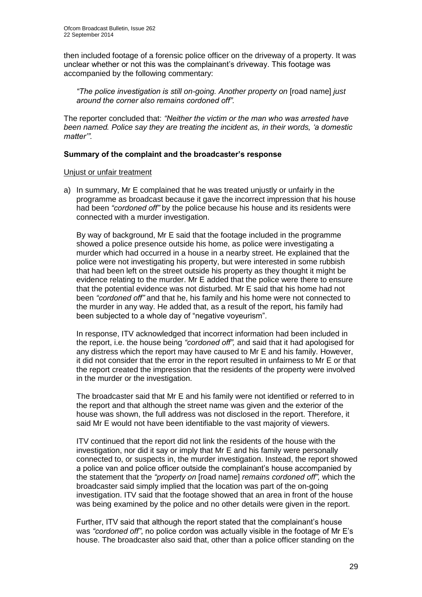then included footage of a forensic police officer on the driveway of a property. It was unclear whether or not this was the complainant's driveway. This footage was accompanied by the following commentary:

*"The police investigation is still on-going. Another property on* [road name] *just around the corner also remains cordoned off".* 

The reporter concluded that: *"Neither the victim or the man who was arrested have been named. Police say they are treating the incident as, in their words, 'a domestic matter'".* 

## **Summary of the complaint and the broadcaster's response**

## Unjust or unfair treatment

a) In summary, Mr E complained that he was treated unjustly or unfairly in the programme as broadcast because it gave the incorrect impression that his house had been *"cordoned off"* by the police because his house and its residents were connected with a murder investigation.

By way of background, Mr E said that the footage included in the programme showed a police presence outside his home, as police were investigating a murder which had occurred in a house in a nearby street. He explained that the police were not investigating his property, but were interested in some rubbish that had been left on the street outside his property as they thought it might be evidence relating to the murder. Mr E added that the police were there to ensure that the potential evidence was not disturbed. Mr E said that his home had not been *"cordoned off"* and that he, his family and his home were not connected to the murder in any way. He added that, as a result of the report, his family had been subjected to a whole day of "negative voyeurism".

In response, ITV acknowledged that incorrect information had been included in the report, i.e. the house being *"cordoned off",* and said that it had apologised for any distress which the report may have caused to Mr E and his family. However, it did not consider that the error in the report resulted in unfairness to Mr E or that the report created the impression that the residents of the property were involved in the murder or the investigation.

The broadcaster said that Mr E and his family were not identified or referred to in the report and that although the street name was given and the exterior of the house was shown, the full address was not disclosed in the report. Therefore, it said Mr E would not have been identifiable to the vast majority of viewers.

ITV continued that the report did not link the residents of the house with the investigation, nor did it say or imply that Mr E and his family were personally connected to, or suspects in, the murder investigation. Instead, the report showed a police van and police officer outside the complainant's house accompanied by the statement that the *"property on* [road name] *remains cordoned off",* which the broadcaster said simply implied that the location was part of the on-going investigation. ITV said that the footage showed that an area in front of the house was being examined by the police and no other details were given in the report.

Further, ITV said that although the report stated that the complainant's house was *"cordoned off"*, no police cordon was actually visible in the footage of Mr E's house. The broadcaster also said that, other than a police officer standing on the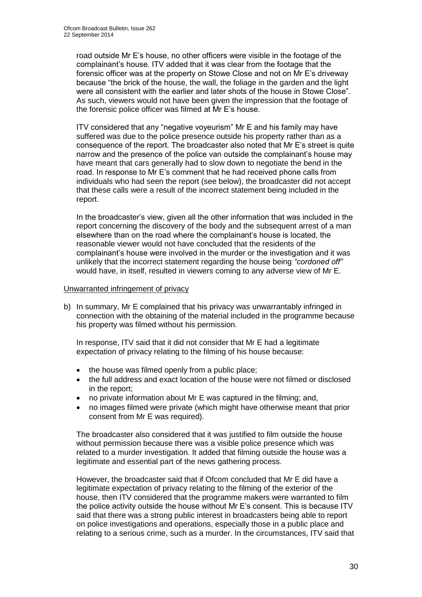road outside Mr E's house, no other officers were visible in the footage of the complainant's house. ITV added that it was clear from the footage that the forensic officer was at the property on Stowe Close and not on Mr E's driveway because "the brick of the house, the wall, the foliage in the garden and the light were all consistent with the earlier and later shots of the house in Stowe Close". As such, viewers would not have been given the impression that the footage of the forensic police officer was filmed at Mr E's house.

ITV considered that any "negative voyeurism" Mr E and his family may have suffered was due to the police presence outside his property rather than as a consequence of the report. The broadcaster also noted that Mr E's street is quite narrow and the presence of the police van outside the complainant's house may have meant that cars generally had to slow down to negotiate the bend in the road. In response to Mr E's comment that he had received phone calls from individuals who had seen the report (see below), the broadcaster did not accept that these calls were a result of the incorrect statement being included in the report.

In the broadcaster's view, given all the other information that was included in the report concerning the discovery of the body and the subsequent arrest of a man elsewhere than on the road where the complainant's house is located, the reasonable viewer would not have concluded that the residents of the complainant's house were involved in the murder or the investigation and it was unlikely that the incorrect statement regarding the house being *"cordoned off"*  would have, in itself, resulted in viewers coming to any adverse view of Mr E.

## Unwarranted infringement of privacy

b) In summary, Mr E complained that his privacy was unwarrantably infringed in connection with the obtaining of the material included in the programme because his property was filmed without his permission.

In response, ITV said that it did not consider that Mr E had a legitimate expectation of privacy relating to the filming of his house because:

- the house was filmed openly from a public place;
- the full address and exact location of the house were not filmed or disclosed in the report;
- no private information about Mr E was captured in the filming; and,
- no images filmed were private (which might have otherwise meant that prior consent from Mr E was required).

The broadcaster also considered that it was justified to film outside the house without permission because there was a visible police presence which was related to a murder investigation. It added that filming outside the house was a legitimate and essential part of the news gathering process.

However, the broadcaster said that if Ofcom concluded that Mr E did have a legitimate expectation of privacy relating to the filming of the exterior of the house, then ITV considered that the programme makers were warranted to film the police activity outside the house without Mr E's consent. This is because ITV said that there was a strong public interest in broadcasters being able to report on police investigations and operations, especially those in a public place and relating to a serious crime, such as a murder. In the circumstances, ITV said that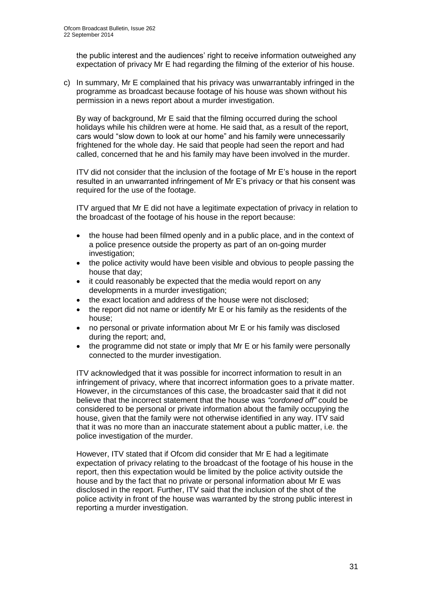the public interest and the audiences' right to receive information outweighed any expectation of privacy Mr E had regarding the filming of the exterior of his house.

c) In summary, Mr E complained that his privacy was unwarrantably infringed in the programme as broadcast because footage of his house was shown without his permission in a news report about a murder investigation.

By way of background, Mr E said that the filming occurred during the school holidays while his children were at home. He said that, as a result of the report, cars would "slow down to look at our home" and his family were unnecessarily frightened for the whole day. He said that people had seen the report and had called, concerned that he and his family may have been involved in the murder.

ITV did not consider that the inclusion of the footage of Mr E's house in the report resulted in an unwarranted infringement of Mr E's privacy or that his consent was required for the use of the footage.

ITV argued that Mr E did not have a legitimate expectation of privacy in relation to the broadcast of the footage of his house in the report because:

- the house had been filmed openly and in a public place, and in the context of a police presence outside the property as part of an on-going murder investigation;
- the police activity would have been visible and obvious to people passing the house that day;
- it could reasonably be expected that the media would report on any developments in a murder investigation;
- the exact location and address of the house were not disclosed;
- the report did not name or identify Mr E or his family as the residents of the house;
- no personal or private information about Mr E or his family was disclosed during the report; and,
- the programme did not state or imply that Mr E or his family were personally connected to the murder investigation.

ITV acknowledged that it was possible for incorrect information to result in an infringement of privacy, where that incorrect information goes to a private matter. However, in the circumstances of this case, the broadcaster said that it did not believe that the incorrect statement that the house was *"cordoned off"* could be considered to be personal or private information about the family occupying the house, given that the family were not otherwise identified in any way. ITV said that it was no more than an inaccurate statement about a public matter, i.e. the police investigation of the murder.

However, ITV stated that if Ofcom did consider that Mr E had a legitimate expectation of privacy relating to the broadcast of the footage of his house in the report, then this expectation would be limited by the police activity outside the house and by the fact that no private or personal information about Mr E was disclosed in the report. Further, ITV said that the inclusion of the shot of the police activity in front of the house was warranted by the strong public interest in reporting a murder investigation.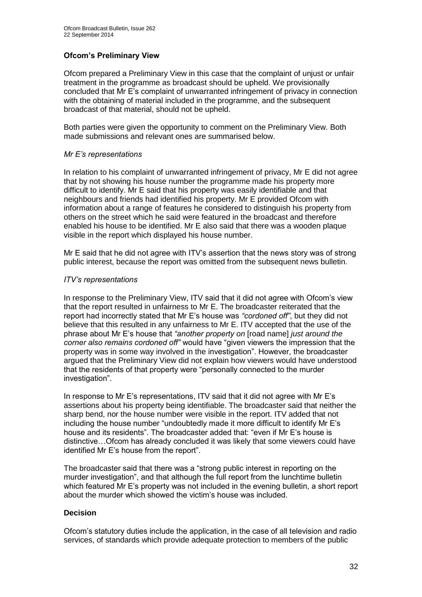# **Ofcom's Preliminary View**

Ofcom prepared a Preliminary View in this case that the complaint of unjust or unfair treatment in the programme as broadcast should be upheld. We provisionally concluded that Mr E's complaint of unwarranted infringement of privacy in connection with the obtaining of material included in the programme, and the subsequent broadcast of that material, should not be upheld.

Both parties were given the opportunity to comment on the Preliminary View. Both made submissions and relevant ones are summarised below.

# *Mr E's representations*

In relation to his complaint of unwarranted infringement of privacy, Mr E did not agree that by not showing his house number the programme made his property more difficult to identify. Mr E said that his property was easily identifiable and that neighbours and friends had identified his property. Mr E provided Ofcom with information about a range of features he considered to distinguish his property from others on the street which he said were featured in the broadcast and therefore enabled his house to be identified. Mr E also said that there was a wooden plaque visible in the report which displayed his house number.

Mr E said that he did not agree with ITV's assertion that the news story was of strong public interest, because the report was omitted from the subsequent news bulletin.

## *ITV's representations*

In response to the Preliminary View, ITV said that it did not agree with Ofcom's view that the report resulted in unfairness to Mr E. The broadcaster reiterated that the report had incorrectly stated that Mr E's house was *"cordoned off"*, but they did not believe that this resulted in any unfairness to Mr E. ITV accepted that the use of the phrase about Mr E's house that *"another property on* [road name] *just around the corner also remains cordoned off"* would have "given viewers the impression that the property was in some way involved in the investigation". However, the broadcaster argued that the Preliminary View did not explain how viewers would have understood that the residents of that property were "personally connected to the murder investigation".

In response to Mr E's representations, ITV said that it did not agree with Mr E's assertions about his property being identifiable. The broadcaster said that neither the sharp bend, nor the house number were visible in the report. ITV added that not including the house number "undoubtedly made it more difficult to identify Mr E's house and its residents". The broadcaster added that: "even if Mr E's house is distinctive…Ofcom has already concluded it was likely that some viewers could have identified Mr E's house from the report".

The broadcaster said that there was a "strong public interest in reporting on the murder investigation", and that although the full report from the lunchtime bulletin which featured Mr E's property was not included in the evening bulletin, a short report about the murder which showed the victim's house was included.

# **Decision**

Ofcom's statutory duties include the application, in the case of all television and radio services, of standards which provide adequate protection to members of the public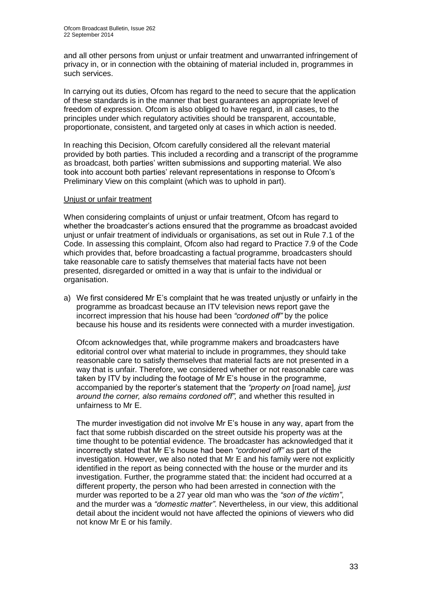and all other persons from unjust or unfair treatment and unwarranted infringement of privacy in, or in connection with the obtaining of material included in, programmes in such services.

In carrying out its duties, Ofcom has regard to the need to secure that the application of these standards is in the manner that best guarantees an appropriate level of freedom of expression. Ofcom is also obliged to have regard, in all cases, to the principles under which regulatory activities should be transparent, accountable, proportionate, consistent, and targeted only at cases in which action is needed.

In reaching this Decision, Ofcom carefully considered all the relevant material provided by both parties. This included a recording and a transcript of the programme as broadcast, both parties' written submissions and supporting material. We also took into account both parties' relevant representations in response to Ofcom's Preliminary View on this complaint (which was to uphold in part).

## Unjust or unfair treatment

When considering complaints of unjust or unfair treatment, Ofcom has regard to whether the broadcaster's actions ensured that the programme as broadcast avoided unjust or unfair treatment of individuals or organisations, as set out in Rule 7.1 of the Code. In assessing this complaint, Ofcom also had regard to Practice 7.9 of the Code which provides that, before broadcasting a factual programme, broadcasters should take reasonable care to satisfy themselves that material facts have not been presented, disregarded or omitted in a way that is unfair to the individual or organisation.

a) We first considered Mr E's complaint that he was treated unjustly or unfairly in the programme as broadcast because an ITV television news report gave the incorrect impression that his house had been *"cordoned off"* by the police because his house and its residents were connected with a murder investigation.

Ofcom acknowledges that, while programme makers and broadcasters have editorial control over what material to include in programmes, they should take reasonable care to satisfy themselves that material facts are not presented in a way that is unfair. Therefore, we considered whether or not reasonable care was taken by ITV by including the footage of Mr E's house in the programme, accompanied by the reporter's statement that the *"property on* [road name]*, just around the corner, also remains cordoned off",* and whether this resulted in unfairness to Mr E.

The murder investigation did not involve Mr E's house in any way, apart from the fact that some rubbish discarded on the street outside his property was at the time thought to be potential evidence. The broadcaster has acknowledged that it incorrectly stated that Mr E's house had been *"cordoned off"* as part of the investigation. However, we also noted that Mr E and his family were not explicitly identified in the report as being connected with the house or the murder and its investigation. Further, the programme stated that: the incident had occurred at a different property, the person who had been arrested in connection with the murder was reported to be a 27 year old man who was the *"son of the victim"*, and the murder was a *"domestic matter"*. Nevertheless, in our view, this additional detail about the incident would not have affected the opinions of viewers who did not know Mr E or his family.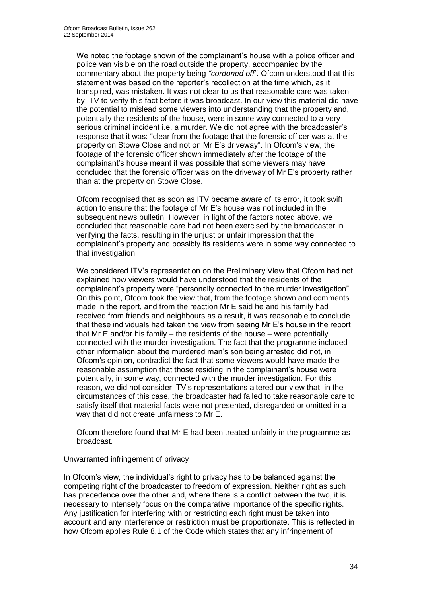We noted the footage shown of the complainant's house with a police officer and police van visible on the road outside the property, accompanied by the commentary about the property being *"cordoned off"*. Ofcom understood that this statement was based on the reporter's recollection at the time which, as it transpired, was mistaken. It was not clear to us that reasonable care was taken by ITV to verify this fact before it was broadcast. In our view this material did have the potential to mislead some viewers into understanding that the property and, potentially the residents of the house, were in some way connected to a very serious criminal incident i.e. a murder. We did not agree with the broadcaster's response that it was: "clear from the footage that the forensic officer was at the property on Stowe Close and not on Mr E's driveway". In Ofcom's view, the footage of the forensic officer shown immediately after the footage of the complainant's house meant it was possible that some viewers may have concluded that the forensic officer was on the driveway of Mr E's property rather than at the property on Stowe Close.

Ofcom recognised that as soon as ITV became aware of its error, it took swift action to ensure that the footage of Mr E's house was not included in the subsequent news bulletin. However, in light of the factors noted above, we concluded that reasonable care had not been exercised by the broadcaster in verifying the facts, resulting in the unjust or unfair impression that the complainant's property and possibly its residents were in some way connected to that investigation.

We considered ITV's representation on the Preliminary View that Ofcom had not explained how viewers would have understood that the residents of the complainant's property were "personally connected to the murder investigation". On this point, Ofcom took the view that, from the footage shown and comments made in the report, and from the reaction Mr E said he and his family had received from friends and neighbours as a result, it was reasonable to conclude that these individuals had taken the view from seeing Mr E's house in the report that Mr E and/or his family – the residents of the house – were potentially connected with the murder investigation. The fact that the programme included other information about the murdered man's son being arrested did not, in Ofcom's opinion, contradict the fact that some viewers would have made the reasonable assumption that those residing in the complainant's house were potentially, in some way, connected with the murder investigation. For this reason, we did not consider ITV's representations altered our view that, in the circumstances of this case, the broadcaster had failed to take reasonable care to satisfy itself that material facts were not presented, disregarded or omitted in a way that did not create unfairness to Mr E.

Ofcom therefore found that Mr E had been treated unfairly in the programme as broadcast.

# Unwarranted infringement of privacy

In Ofcom's view, the individual's right to privacy has to be balanced against the competing right of the broadcaster to freedom of expression. Neither right as such has precedence over the other and, where there is a conflict between the two, it is necessary to intensely focus on the comparative importance of the specific rights. Any justification for interfering with or restricting each right must be taken into account and any interference or restriction must be proportionate. This is reflected in how Ofcom applies Rule 8.1 of the Code which states that any infringement of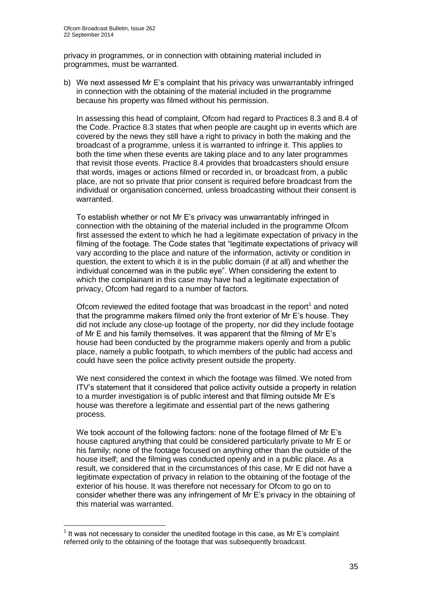privacy in programmes, or in connection with obtaining material included in programmes, must be warranted.

b) We next assessed Mr E's complaint that his privacy was unwarrantably infringed in connection with the obtaining of the material included in the programme because his property was filmed without his permission.

In assessing this head of complaint, Ofcom had regard to Practices 8.3 and 8.4 of the Code. Practice 8.3 states that when people are caught up in events which are covered by the news they still have a right to privacy in both the making and the broadcast of a programme, unless it is warranted to infringe it. This applies to both the time when these events are taking place and to any later programmes that revisit those events. Practice 8.4 provides that broadcasters should ensure that words, images or actions filmed or recorded in, or broadcast from, a public place, are not so private that prior consent is required before broadcast from the individual or organisation concerned, unless broadcasting without their consent is warranted.

To establish whether or not Mr E's privacy was unwarrantably infringed in connection with the obtaining of the material included in the programme Ofcom first assessed the extent to which he had a legitimate expectation of privacy in the filming of the footage. The Code states that "legitimate expectations of privacy will vary according to the place and nature of the information, activity or condition in question, the extent to which it is in the public domain (if at all) and whether the individual concerned was in the public eye". When considering the extent to which the complainant in this case may have had a legitimate expectation of privacy, Ofcom had regard to a number of factors.

Ofcom reviewed the edited footage that was broadcast in the report $<sup>1</sup>$  and noted</sup> that the programme makers filmed only the front exterior of Mr E's house. They did not include any close-up footage of the property, nor did they include footage of Mr E and his family themselves. It was apparent that the filming of Mr E's house had been conducted by the programme makers openly and from a public place, namely a public footpath, to which members of the public had access and could have seen the police activity present outside the property.

We next considered the context in which the footage was filmed. We noted from ITV's statement that it considered that police activity outside a property in relation to a murder investigation is of public interest and that filming outside Mr E's house was therefore a legitimate and essential part of the news gathering process.

We took account of the following factors: none of the footage filmed of Mr E's house captured anything that could be considered particularly private to Mr E or his family; none of the footage focused on anything other than the outside of the house itself; and the filming was conducted openly and in a public place. As a result, we considered that in the circumstances of this case, Mr E did not have a legitimate expectation of privacy in relation to the obtaining of the footage of the exterior of his house. It was therefore not necessary for Ofcom to go on to consider whether there was any infringement of Mr E's privacy in the obtaining of this material was warranted.

1

 $<sup>1</sup>$  It was not necessary to consider the unedited footage in this case, as Mr E's complaint</sup> referred only to the obtaining of the footage that was subsequently broadcast.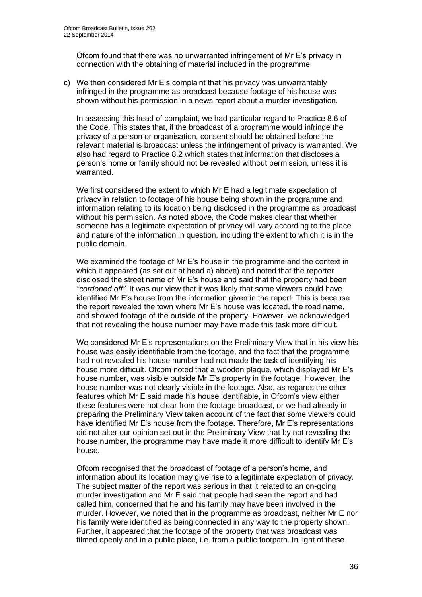Ofcom found that there was no unwarranted infringement of Mr E's privacy in connection with the obtaining of material included in the programme.

c) We then considered Mr E's complaint that his privacy was unwarrantably infringed in the programme as broadcast because footage of his house was shown without his permission in a news report about a murder investigation.

In assessing this head of complaint, we had particular regard to Practice 8.6 of the Code. This states that, if the broadcast of a programme would infringe the privacy of a person or organisation, consent should be obtained before the relevant material is broadcast unless the infringement of privacy is warranted. We also had regard to Practice 8.2 which states that information that discloses a person's home or family should not be revealed without permission, unless it is warranted.

We first considered the extent to which Mr E had a legitimate expectation of privacy in relation to footage of his house being shown in the programme and information relating to its location being disclosed in the programme as broadcast without his permission. As noted above, the Code makes clear that whether someone has a legitimate expectation of privacy will vary according to the place and nature of the information in question, including the extent to which it is in the public domain.

We examined the footage of Mr E's house in the programme and the context in which it appeared (as set out at head a) above) and noted that the reporter disclosed the street name of Mr E's house and said that the property had been *"cordoned off".* It was our view that it was likely that some viewers could have identified Mr E's house from the information given in the report. This is because the report revealed the town where Mr E's house was located, the road name, and showed footage of the outside of the property. However, we acknowledged that not revealing the house number may have made this task more difficult.

We considered Mr E's representations on the Preliminary View that in his view his house was easily identifiable from the footage, and the fact that the programme had not revealed his house number had not made the task of identifying his house more difficult. Ofcom noted that a wooden plaque, which displayed Mr E's house number, was visible outside Mr E's property in the footage. However, the house number was not clearly visible in the footage. Also, as regards the other features which Mr E said made his house identifiable, in Ofcom's view either these features were not clear from the footage broadcast, or we had already in preparing the Preliminary View taken account of the fact that some viewers could have identified Mr E's house from the footage. Therefore, Mr E's representations did not alter our opinion set out in the Preliminary View that by not revealing the house number, the programme may have made it more difficult to identify Mr E's house.

Ofcom recognised that the broadcast of footage of a person's home, and information about its location may give rise to a legitimate expectation of privacy. The subject matter of the report was serious in that it related to an on-going murder investigation and Mr E said that people had seen the report and had called him, concerned that he and his family may have been involved in the murder. However, we noted that in the programme as broadcast, neither Mr E nor his family were identified as being connected in any way to the property shown. Further, it appeared that the footage of the property that was broadcast was filmed openly and in a public place, i.e. from a public footpath. In light of these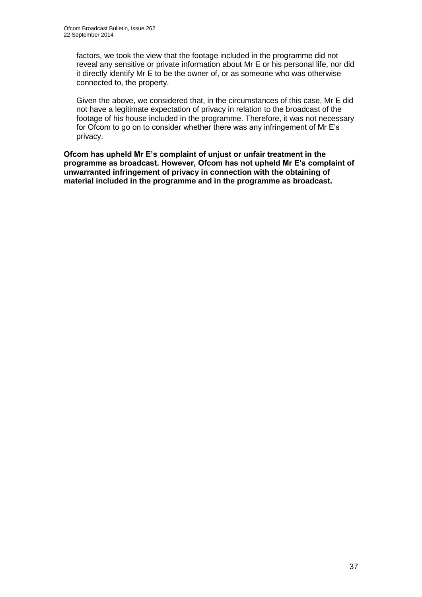factors, we took the view that the footage included in the programme did not reveal any sensitive or private information about Mr E or his personal life, nor did it directly identify Mr E to be the owner of, or as someone who was otherwise connected to, the property.

Given the above, we considered that, in the circumstances of this case, Mr E did not have a legitimate expectation of privacy in relation to the broadcast of the footage of his house included in the programme. Therefore, it was not necessary for Ofcom to go on to consider whether there was any infringement of Mr E's privacy.

**Ofcom has upheld Mr E's complaint of unjust or unfair treatment in the programme as broadcast. However, Ofcom has not upheld Mr E's complaint of unwarranted infringement of privacy in connection with the obtaining of material included in the programme and in the programme as broadcast.**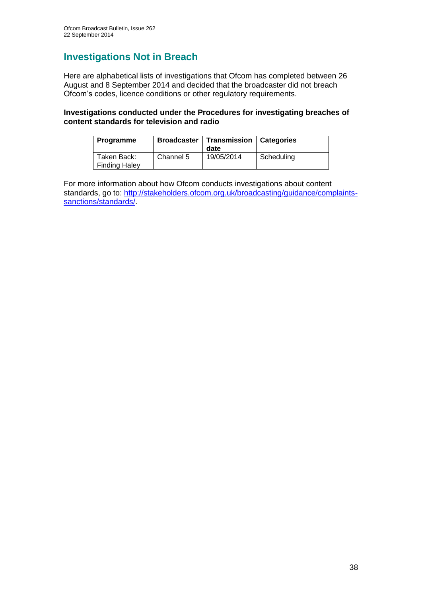# **Investigations Not in Breach**

Here are alphabetical lists of investigations that Ofcom has completed between 26 August and 8 September 2014 and decided that the broadcaster did not breach Ofcom's codes, licence conditions or other regulatory requirements.

# **Investigations conducted under the Procedures for investigating breaches of content standards for television and radio**

| Programme                           | Broadcaster | Transmission<br>date | <b>Categories</b> |
|-------------------------------------|-------------|----------------------|-------------------|
| Taken Back:<br><b>Finding Haley</b> | Channel 5   | 19/05/2014           | Scheduling        |

For more information about how Ofcom conducts investigations about content standards, go to: [http://stakeholders.ofcom.org.uk/broadcasting/guidance/complaints](http://stakeholders.ofcom.org.uk/broadcasting/guidance/complaints-sanctions/standards/)[sanctions/standards/.](http://stakeholders.ofcom.org.uk/broadcasting/guidance/complaints-sanctions/standards/)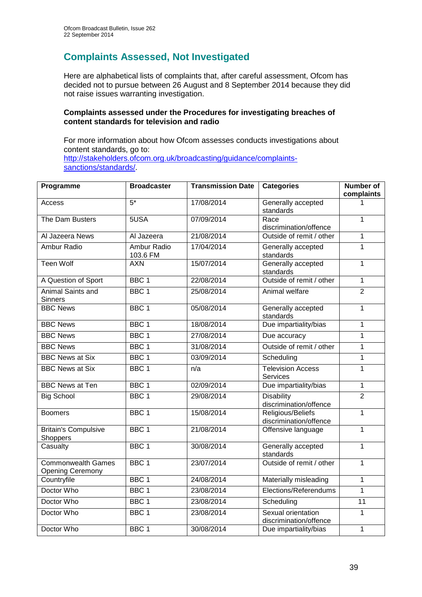# **Complaints Assessed, Not Investigated**

Here are alphabetical lists of complaints that, after careful assessment, Ofcom has decided not to pursue between 26 August and 8 September 2014 because they did not raise issues warranting investigation.

# **Complaints assessed under the Procedures for investigating breaches of content standards for television and radio**

For more information about how Ofcom assesses conducts investigations about content standards, go to: [http://stakeholders.ofcom.org.uk/broadcasting/guidance/complaints](http://stakeholders.ofcom.org.uk/broadcasting/guidance/complaints-sanctions/standards/)[sanctions/standards/.](http://stakeholders.ofcom.org.uk/broadcasting/guidance/complaints-sanctions/standards/)

| Programme                                            | <b>Broadcaster</b>      | <b>Transmission Date</b> | <b>Categories</b>                            | <b>Number of</b><br>complaints |
|------------------------------------------------------|-------------------------|--------------------------|----------------------------------------------|--------------------------------|
| Access                                               | $5*$                    | 17/08/2014               | Generally accepted<br>standards              |                                |
| The Dam Busters                                      | 5USA                    | 07/09/2014               | Race<br>discrimination/offence               | 1                              |
| Al Jazeera News                                      | Al Jazeera              | 21/08/2014               | Outside of remit / other                     | 1                              |
| <b>Ambur Radio</b>                                   | Ambur Radio<br>103.6 FM | 17/04/2014               | Generally accepted<br>standards              | $\mathbf{1}$                   |
| <b>Teen Wolf</b>                                     | <b>AXN</b>              | 15/07/2014               | Generally accepted<br>standards              | $\mathbf{1}$                   |
| A Question of Sport                                  | BBC <sub>1</sub>        | 22/08/2014               | Outside of remit / other                     | $\mathbf{1}$                   |
| <b>Animal Saints and</b><br><b>Sinners</b>           | BBC <sub>1</sub>        | 25/08/2014               | Animal welfare                               | $\overline{2}$                 |
| <b>BBC News</b>                                      | BBC <sub>1</sub>        | 05/08/2014               | Generally accepted<br>standards              | $\mathbf{1}$                   |
| <b>BBC News</b>                                      | BBC <sub>1</sub>        | 18/08/2014               | Due impartiality/bias                        | $\mathbf{1}$                   |
| <b>BBC News</b>                                      | BBC <sub>1</sub>        | 27/08/2014               | Due accuracy                                 | $\mathbf{1}$                   |
| <b>BBC News</b>                                      | BBC <sub>1</sub>        | 31/08/2014               | Outside of remit / other                     | $\mathbf{1}$                   |
| <b>BBC News at Six</b>                               | BBC <sub>1</sub>        | 03/09/2014               | Scheduling                                   | $\mathbf{1}$                   |
| <b>BBC News at Six</b>                               | BBC <sub>1</sub>        | n/a                      | <b>Television Access</b><br>Services         | $\overline{1}$                 |
| <b>BBC News at Ten</b>                               | BBC <sub>1</sub>        | 02/09/2014               | Due impartiality/bias                        | $\mathbf{1}$                   |
| <b>Big School</b>                                    | BBC <sub>1</sub>        | 29/08/2014               | <b>Disability</b><br>discrimination/offence  | $\overline{2}$                 |
| <b>Boomers</b>                                       | BBC <sub>1</sub>        | 15/08/2014               | Religious/Beliefs<br>discrimination/offence  | 1                              |
| <b>Britain's Compulsive</b><br>Shoppers              | BBC <sub>1</sub>        | 21/08/2014               | Offensive language                           | $\mathbf{1}$                   |
| Casualty                                             | BBC <sub>1</sub>        | 30/08/2014               | Generally accepted<br>standards              | $\overline{1}$                 |
| <b>Commonwealth Games</b><br><b>Opening Ceremony</b> | BBC <sub>1</sub>        | 23/07/2014               | Outside of remit / other                     | $\overline{1}$                 |
| Countryfile                                          | BBC <sub>1</sub>        | 24/08/2014               | Materially misleading                        | $\mathbf{1}$                   |
| Doctor Who                                           | BBC <sub>1</sub>        | 23/08/2014               | Elections/Referendums                        | $\mathbf{1}$                   |
| Doctor Who                                           | BBC <sub>1</sub>        | 23/08/2014               | Scheduling                                   | $\overline{11}$                |
| Doctor Who                                           | BBC <sub>1</sub>        | 23/08/2014               | Sexual orientation<br>discrimination/offence | $\mathbf{1}$                   |
| Doctor Who                                           | BBC <sub>1</sub>        | 30/08/2014               | Due impartiality/bias                        | $\overline{1}$                 |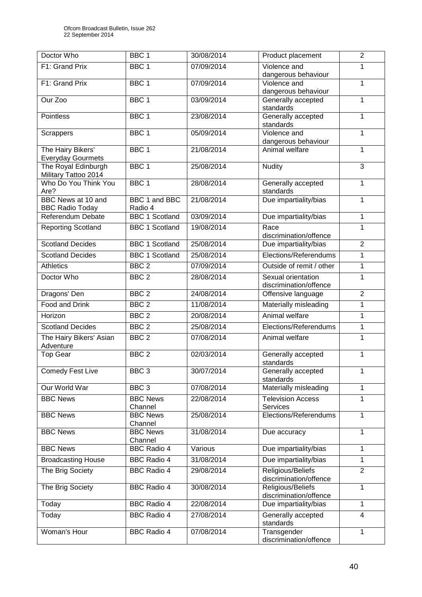| Doctor Who                                    | BBC <sub>1</sub>                 | 30/08/2014 | Product placement                           | $\overline{2}$ |
|-----------------------------------------------|----------------------------------|------------|---------------------------------------------|----------------|
| F1: Grand Prix                                | BBC <sub>1</sub>                 | 07/09/2014 | Violence and                                | 1              |
|                                               |                                  |            | dangerous behaviour                         |                |
| F1: Grand Prix                                | BBC <sub>1</sub>                 | 07/09/2014 | Violence and                                | 1              |
| Our Zoo                                       | BBC <sub>1</sub>                 | 03/09/2014 | dangerous behaviour<br>Generally accepted   | 1              |
|                                               |                                  |            | standards                                   |                |
| Pointless                                     | BBC <sub>1</sub>                 | 23/08/2014 | Generally accepted                          | 1              |
|                                               |                                  |            | standards                                   |                |
| Scrappers                                     | BBC <sub>1</sub>                 | 05/09/2014 | Violence and                                | 1              |
|                                               |                                  |            | dangerous behaviour                         |                |
| The Hairy Bikers'<br><b>Everyday Gourmets</b> | BBC <sub>1</sub>                 | 21/08/2014 | Animal welfare                              | 1              |
| The Royal Edinburgh<br>Military Tattoo 2014   | BBC <sub>1</sub>                 | 25/08/2014 | <b>Nudity</b>                               | 3              |
| Who Do You Think You<br>Are?                  | BBC <sub>1</sub>                 | 28/08/2014 | Generally accepted<br>standards             | 1              |
| <b>BBC</b> News at 10 and                     | BBC 1 and BBC                    | 21/08/2014 | Due impartiality/bias                       | 1              |
| <b>BBC Radio Today</b><br>Referendum Debate   | Radio 4<br><b>BBC 1 Scotland</b> | 03/09/2014 | Due impartiality/bias                       | 1              |
|                                               |                                  |            |                                             | 1              |
| <b>Reporting Scotland</b>                     | <b>BBC 1 Scotland</b>            | 19/08/2014 | Race<br>discrimination/offence              |                |
| <b>Scotland Decides</b>                       | <b>BBC 1 Scotland</b>            | 25/08/2014 | Due impartiality/bias                       | $\overline{2}$ |
| <b>Scotland Decides</b>                       | <b>BBC 1 Scotland</b>            | 25/08/2014 | Elections/Referendums                       | 1              |
| <b>Athletics</b>                              | BBC <sub>2</sub>                 | 07/09/2014 | Outside of remit / other                    | 1              |
| Doctor Who                                    | BBC <sub>2</sub>                 | 28/08/2014 | Sexual orientation                          | 1              |
|                                               |                                  |            | discrimination/offence                      |                |
| Dragons' Den                                  | BBC <sub>2</sub>                 | 24/08/2014 | Offensive language                          | $\overline{2}$ |
| Food and Drink                                | BBC <sub>2</sub>                 | 11/08/2014 | Materially misleading                       | 1              |
| Horizon                                       | BBC <sub>2</sub>                 | 20/08/2014 | Animal welfare                              | 1              |
| <b>Scotland Decides</b>                       | BBC <sub>2</sub>                 | 25/08/2014 | Elections/Referendums                       | 1              |
| The Hairy Bikers' Asian<br>Adventure          | BBC <sub>2</sub>                 | 07/08/2014 | Animal welfare                              | $\mathbf{1}$   |
| <b>Top Gear</b>                               | BBC <sub>2</sub>                 | 02/03/2014 | Generally accepted                          | 1              |
|                                               |                                  |            | standards                                   |                |
| <b>Comedy Fest Live</b>                       | BBC <sub>3</sub>                 | 30/07/2014 | Generally accepted<br>standards             | 1              |
| Our World War                                 | BBC <sub>3</sub>                 | 07/08/2014 | Materially misleading                       | 1              |
| <b>BBC News</b>                               | <b>BBC News</b><br>Channel       | 22/08/2014 | <b>Television Access</b><br><b>Services</b> | 1              |
| <b>BBC News</b>                               | <b>BBC News</b>                  | 25/08/2014 | Elections/Referendums                       | 1              |
|                                               | Channel                          |            |                                             |                |
| <b>BBC News</b>                               | <b>BBC News</b><br>Channel       | 31/08/2014 | Due accuracy                                | 1              |
| <b>BBC News</b>                               | <b>BBC Radio 4</b>               | Various    | Due impartiality/bias                       | $\mathbf{1}$   |
| <b>Broadcasting House</b>                     | <b>BBC Radio 4</b>               | 31/08/2014 | Due impartiality/bias                       | 1              |
| The Brig Society                              | <b>BBC Radio 4</b>               | 29/08/2014 | Religious/Beliefs<br>discrimination/offence | $\overline{2}$ |
| The Brig Society                              | <b>BBC Radio 4</b>               | 30/08/2014 | Religious/Beliefs<br>discrimination/offence | $\mathbf{1}$   |
| Today                                         | <b>BBC Radio 4</b>               | 22/08/2014 | Due impartiality/bias                       | 1              |
| Today                                         | <b>BBC Radio 4</b>               | 27/08/2014 | Generally accepted                          | 4              |
|                                               |                                  |            | standards                                   |                |
| Woman's Hour                                  | <b>BBC Radio 4</b>               | 07/08/2014 | Transgender<br>discrimination/offence       | 1              |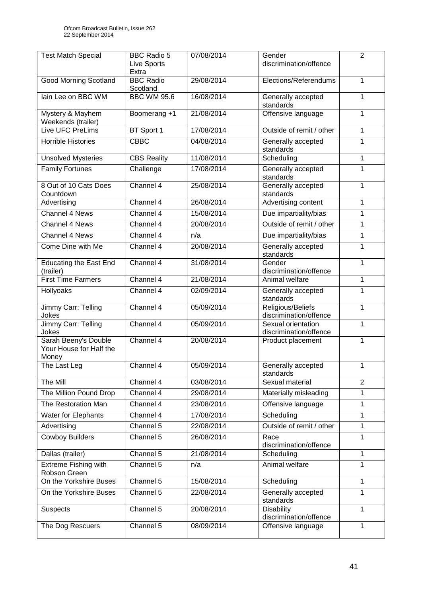| <b>Test Match Special</b>                                | <b>BBC Radio 5</b><br><b>Live Sports</b><br>Extra | 07/08/2014 | Gender<br>discrimination/offence             | $\overline{2}$ |
|----------------------------------------------------------|---------------------------------------------------|------------|----------------------------------------------|----------------|
| <b>Good Morning Scotland</b>                             | <b>BBC Radio</b><br>Scotland                      | 29/08/2014 | Elections/Referendums                        | $\mathbf{1}$   |
| lain Lee on BBC WM                                       | <b>BBC WM 95.6</b>                                | 16/08/2014 | Generally accepted<br>standards              | 1              |
| Mystery & Mayhem<br>Weekends (trailer)                   | Boomerang +1                                      | 21/08/2014 | Offensive language                           | 1              |
| Live UFC PreLims                                         | BT Sport 1                                        | 17/08/2014 | Outside of remit / other                     | $\mathbf{1}$   |
| Horrible Histories                                       | <b>CBBC</b>                                       | 04/08/2014 | Generally accepted<br>standards              | 1              |
| <b>Unsolved Mysteries</b>                                | <b>CBS Reality</b>                                | 11/08/2014 | Scheduling                                   | $\mathbf{1}$   |
| Family Fortunes                                          | Challenge                                         | 17/08/2014 | Generally accepted<br>standards              | 1              |
| 8 Out of 10 Cats Does<br>Countdown                       | Channel 4                                         | 25/08/2014 | Generally accepted<br>standards              | 1              |
| Advertising                                              | Channel 4                                         | 26/08/2014 | Advertising content                          | 1              |
| <b>Channel 4 News</b>                                    | Channel 4                                         | 15/08/2014 | Due impartiality/bias                        | 1              |
| Channel 4 News                                           | Channel 4                                         | 20/08/2014 | Outside of remit / other                     | 1              |
| Channel 4 News                                           | Channel 4                                         | n/a        | Due impartiality/bias                        | 1              |
| Come Dine with Me                                        | Channel 4                                         | 20/08/2014 | Generally accepted<br>standards              | 1              |
| <b>Educating the East End</b><br>(trailer)               | Channel 4                                         | 31/08/2014 | Gender<br>discrimination/offence             | 1              |
| <b>First Time Farmers</b>                                | Channel 4                                         | 21/08/2014 | Animal welfare                               | $\mathbf{1}$   |
| Hollyoaks                                                | Channel 4                                         | 02/09/2014 | Generally accepted<br>standards              | 1              |
| Jimmy Carr: Telling<br>Jokes                             | Channel 4                                         | 05/09/2014 | Religious/Beliefs<br>discrimination/offence  | $\mathbf{1}$   |
| Jimmy Carr: Telling<br>Jokes                             | Channel 4                                         | 05/09/2014 | Sexual orientation<br>discrimination/offence | 1              |
| Sarah Beeny's Double<br>Your House for Half the<br>Money | Channel 4                                         | 20/08/2014 | Product placement                            | 1              |
| The Last Leg                                             | Channel 4                                         | 05/09/2014 | Generally accepted<br>standards              | 1              |
| The Mill                                                 | Channel 4                                         | 03/08/2014 | Sexual material                              | $\overline{2}$ |
| The Million Pound Drop                                   | Channel 4                                         | 29/08/2014 | Materially misleading                        | 1              |
| The Restoration Man                                      | Channel 4                                         | 23/08/2014 | Offensive language                           | 1              |
| Water for Elephants                                      | Channel 4                                         | 17/08/2014 | Scheduling                                   | 1              |
| Advertising                                              | Channel 5                                         | 22/08/2014 | Outside of remit / other                     | 1              |
| <b>Cowboy Builders</b>                                   | Channel 5                                         | 26/08/2014 | Race<br>discrimination/offence               | 1              |
| Dallas (trailer)                                         | Channel 5                                         | 21/08/2014 | Scheduling                                   | 1              |
| <b>Extreme Fishing with</b><br>Robson Green              | Channel 5                                         | n/a        | Animal welfare                               | $\mathbf{1}$   |
| On the Yorkshire Buses                                   | Channel 5                                         | 15/08/2014 | Scheduling                                   | 1              |
| On the Yorkshire Buses                                   | Channel 5                                         | 22/08/2014 | Generally accepted<br>standards              | 1              |
| Suspects                                                 | Channel 5                                         | 20/08/2014 | <b>Disability</b><br>discrimination/offence  | 1              |
| The Dog Rescuers                                         | Channel 5                                         | 08/09/2014 | Offensive language                           | 1              |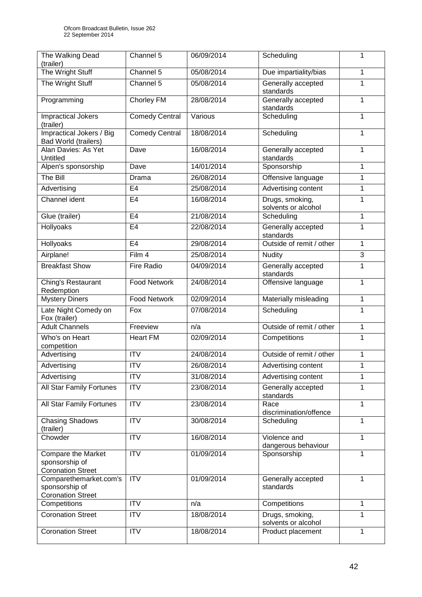| The Walking Dead<br>(trailer)                                           | Channel 5             | 06/09/2014 | Scheduling                             | 1 |
|-------------------------------------------------------------------------|-----------------------|------------|----------------------------------------|---|
| The Wright Stuff                                                        | Channel 5             | 05/08/2014 | Due impartiality/bias                  | 1 |
| The Wright Stuff                                                        | Channel 5             | 05/08/2014 | Generally accepted<br>standards        | 1 |
| Programming                                                             | <b>Chorley FM</b>     | 28/08/2014 | Generally accepted<br>standards        | 1 |
| <b>Impractical Jokers</b><br>(trailer)                                  | <b>Comedy Central</b> | Various    | Scheduling                             | 1 |
| Impractical Jokers / Big<br>Bad World (trailers)                        | <b>Comedy Central</b> | 18/08/2014 | Scheduling                             | 1 |
| Alan Davies: As Yet<br>Untitled                                         | Dave                  | 16/08/2014 | Generally accepted<br>standards        | 1 |
| Alpen's sponsorship                                                     | Dave                  | 14/01/2014 | Sponsorship                            | 1 |
| The Bill                                                                | Drama                 | 26/08/2014 | Offensive language                     | 1 |
| Advertising                                                             | E <sub>4</sub>        | 25/08/2014 | <b>Advertising content</b>             | 1 |
| Channel ident                                                           | E <sub>4</sub>        | 16/08/2014 | Drugs, smoking,<br>solvents or alcohol | 1 |
| Glue (trailer)                                                          | E <sub>4</sub>        | 21/08/2014 | Scheduling                             | 1 |
| Hollyoaks                                                               | E <sub>4</sub>        | 22/08/2014 | Generally accepted<br>standards        | 1 |
| Hollyoaks                                                               | E <sub>4</sub>        | 29/08/2014 | Outside of remit / other               | 1 |
| Airplane!                                                               | Film 4                | 25/08/2014 | Nudity                                 | 3 |
| <b>Breakfast Show</b>                                                   | <b>Fire Radio</b>     | 04/09/2014 | Generally accepted<br>standards        | 1 |
| Ching's Restaurant<br>Redemption                                        | <b>Food Network</b>   | 24/08/2014 | Offensive language                     | 1 |
| <b>Mystery Diners</b>                                                   | Food Network          | 02/09/2014 | Materially misleading                  | 1 |
| Late Night Comedy on<br>Fox (trailer)                                   | Fox                   | 07/08/2014 | Scheduling                             | 1 |
| <b>Adult Channels</b>                                                   | Freeview              | n/a        | Outside of remit / other               | 1 |
| Who's on Heart<br>competition                                           | <b>Heart FM</b>       | 02/09/2014 | Competitions                           | 1 |
| Advertising                                                             | <b>ITV</b>            | 24/08/2014 | Outside of remit / other               | 1 |
| Advertising                                                             | <b>ITV</b>            | 26/08/2014 | Advertising content                    | 1 |
| Advertising                                                             | <b>ITV</b>            | 31/08/2014 | Advertising content                    | 1 |
| All Star Family Fortunes                                                | <b>ITV</b>            | 23/08/2014 | Generally accepted<br>standards        | 1 |
| All Star Family Fortunes                                                | <b>ITV</b>            | 23/08/2014 | Race<br>discrimination/offence         | 1 |
| <b>Chasing Shadows</b><br>(trailer)                                     | <b>ITV</b>            | 30/08/2014 | Scheduling                             | 1 |
| Chowder                                                                 | <b>ITV</b>            | 16/08/2014 | Violence and<br>dangerous behaviour    | 1 |
| <b>Compare the Market</b><br>sponsorship of<br><b>Coronation Street</b> | <b>ITV</b>            | 01/09/2014 | Sponsorship                            | 1 |
| Comparethemarket.com's<br>sponsorship of<br><b>Coronation Street</b>    | <b>ITV</b>            | 01/09/2014 | Generally accepted<br>standards        | 1 |
| Competitions                                                            | <b>ITV</b>            | n/a        | Competitions                           | 1 |
| <b>Coronation Street</b>                                                | <b>ITV</b>            | 18/08/2014 | Drugs, smoking,<br>solvents or alcohol | 1 |
| <b>Coronation Street</b>                                                | <b>ITV</b>            | 18/08/2014 | Product placement                      | 1 |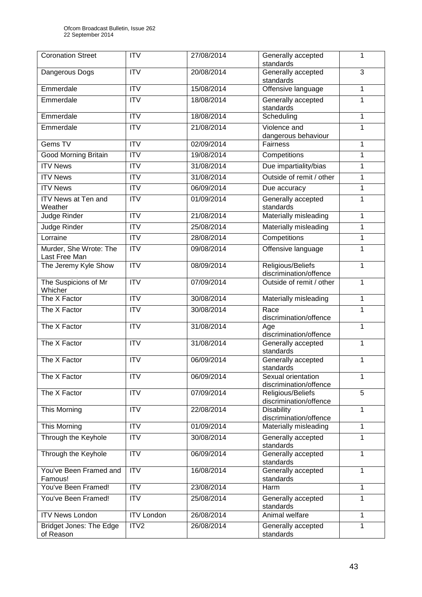| <b>Coronation Street</b>                    | <b>ITV</b>        | 27/08/2014 | Generally accepted<br>standards              | 1              |
|---------------------------------------------|-------------------|------------|----------------------------------------------|----------------|
| Dangerous Dogs                              | <b>ITV</b>        | 20/08/2014 | Generally accepted<br>standards              | $\overline{3}$ |
| Emmerdale                                   | <b>ITV</b>        | 15/08/2014 | Offensive language                           | 1              |
| Emmerdale                                   | ITV               | 18/08/2014 | Generally accepted<br>standards              | 1              |
| Emmerdale                                   | <b>ITV</b>        | 18/08/2014 | Scheduling                                   | 1              |
| Emmerdale                                   | <b>ITV</b>        | 21/08/2014 | Violence and                                 | 1              |
|                                             |                   |            | dangerous behaviour                          |                |
| Gems TV                                     | <b>ITV</b>        | 02/09/2014 | Fairness                                     | 1              |
| <b>Good Morning Britain</b>                 | ITV               | 19/08/2014 | Competitions                                 | 1              |
| <b>ITV News</b>                             | <b>ITV</b>        | 31/08/2014 | Due impartiality/bias                        | 1              |
| <b>ITV News</b>                             | <b>ITV</b>        | 31/08/2014 | Outside of remit / other                     | 1              |
| <b>ITV News</b>                             | ITV               | 06/09/2014 | Due accuracy                                 | 1              |
| <b>ITV News at Ten and</b><br>Weather       | <b>ITV</b>        | 01/09/2014 | Generally accepted<br>standards              | 1              |
| Judge Rinder                                | ITV               | 21/08/2014 | Materially misleading                        | 1              |
| Judge Rinder                                | <b>ITV</b>        | 25/08/2014 | Materially misleading                        | 1              |
| Lorraine                                    | <b>ITV</b>        | 28/08/2014 | Competitions                                 | 1              |
| Murder, She Wrote: The<br>Last Free Man     | ITV               | 09/08/2014 | Offensive language                           | 1              |
| The Jeremy Kyle Show                        | ITV               | 08/09/2014 | Religious/Beliefs<br>discrimination/offence  | 1              |
| The Suspicions of Mr<br>Whicher             | <b>ITV</b>        | 07/09/2014 | Outside of remit / other                     | 1              |
| The X Factor                                | ITV               | 30/08/2014 | Materially misleading                        | 1              |
| The X Factor                                | <b>ITV</b>        | 30/08/2014 | Race<br>discrimination/offence               | 1              |
| The X Factor                                | ITV               | 31/08/2014 | Age<br>discrimination/offence                | 1              |
| The X Factor                                | <b>ITV</b>        | 31/08/2014 | Generally accepted<br>standards              | 1              |
| The X Factor                                | <b>ITV</b>        | 06/09/2014 | Generally accepted<br>standards              | 1              |
| The X Factor                                | <b>ITV</b>        | 06/09/2014 | Sexual orientation<br>discrimination/offence | 1              |
| The X Factor                                | <b>ITV</b>        | 07/09/2014 | Religious/Beliefs<br>discrimination/offence  | 5              |
| This Morning                                | <b>ITV</b>        | 22/08/2014 | <b>Disability</b><br>discrimination/offence  | 1              |
| This Morning                                | <b>ITV</b>        | 01/09/2014 | Materially misleading                        | 1              |
| Through the Keyhole                         | <b>ITV</b>        | 30/08/2014 | Generally accepted<br>standards              | 1              |
| Through the Keyhole                         | <b>ITV</b>        | 06/09/2014 | Generally accepted<br>standards              | 1              |
| You've Been Framed and<br>Famous!           | <b>ITV</b>        | 16/08/2014 | Generally accepted<br>standards              | 1              |
| You've Been Framed!                         | <b>ITV</b>        | 23/08/2014 | Harm                                         | 1              |
| You've Been Framed!                         | <b>ITV</b>        | 25/08/2014 | Generally accepted<br>standards              | 1              |
| <b>ITV News London</b>                      | <b>ITV London</b> | 26/08/2014 | Animal welfare                               | 1              |
| <b>Bridget Jones: The Edge</b><br>of Reason | ITV2              | 26/08/2014 | Generally accepted<br>standards              | 1              |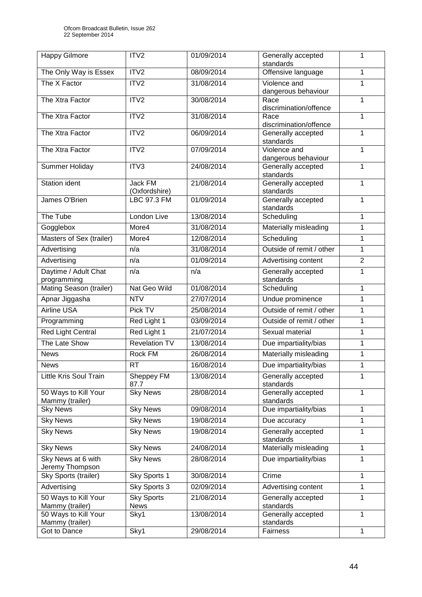| <b>Happy Gilmore</b>                    | ITV2                             | 01/09/2014 | Generally accepted                  | 1              |
|-----------------------------------------|----------------------------------|------------|-------------------------------------|----------------|
|                                         |                                  |            | standards                           |                |
| The Only Way is Essex                   | ITV2                             | 08/09/2014 | Offensive language                  | 1              |
| The X Factor                            | ITV2                             | 31/08/2014 | Violence and<br>dangerous behaviour | 1              |
| The Xtra Factor                         | ITV2                             | 30/08/2014 | Race<br>discrimination/offence      | 1              |
| The Xtra Factor                         | ITV2                             | 31/08/2014 | Race<br>discrimination/offence      | 1              |
| The Xtra Factor                         | ITV2                             | 06/09/2014 | Generally accepted<br>standards     | 1              |
| The Xtra Factor                         | ITV2                             | 07/09/2014 | Violence and<br>dangerous behaviour | 1              |
| Summer Holiday                          | ITV3                             | 24/08/2014 | Generally accepted<br>standards     | 1              |
| Station ident                           | Jack FM<br>(Oxfordshire)         | 21/08/2014 | Generally accepted<br>standards     | 1              |
| James O'Brien                           | <b>LBC 97.3 FM</b>               | 01/09/2014 | Generally accepted<br>standards     | 1              |
| The Tube                                | London Live                      | 13/08/2014 | Scheduling                          | 1              |
| Gogglebox                               | More4                            | 31/08/2014 | Materially misleading               | 1              |
| Masters of Sex (trailer)                | More4                            | 12/08/2014 | Scheduling                          | 1              |
| Advertising                             | n/a                              | 31/08/2014 | Outside of remit / other            | 1              |
| Advertising                             | n/a                              | 01/09/2014 | Advertising content                 | $\overline{2}$ |
| Daytime / Adult Chat<br>programming     | n/a                              | n/a        | Generally accepted<br>standards     | 1              |
| Mating Season (trailer)                 | Nat Geo Wild                     | 01/08/2014 | Scheduling                          | 1              |
| Apnar Jiggasha                          | <b>NTV</b>                       | 27/07/2014 | Undue prominence                    | 1              |
| <b>Airline USA</b>                      | Pick TV                          | 25/08/2014 | Outside of remit / other            | 1              |
| Programming                             | Red Light 1                      | 03/09/2014 | Outside of remit / other            | 1              |
| <b>Red Light Central</b>                | Red Light 1                      | 21/07/2014 | Sexual material                     | 1              |
| The Late Show                           | <b>Revelation TV</b>             | 13/08/2014 | Due impartiality/bias               | 1              |
| <b>News</b>                             | <b>Rock FM</b>                   | 26/08/2014 | Materially misleading               | 1              |
| <b>News</b>                             | <b>RT</b>                        | 16/08/2014 | Due impartiality/bias               | 1              |
| Little Kris Soul Train                  | Sheppey FM<br>87.7               | 13/08/2014 | Generally accepted<br>standards     | 1              |
| 50 Ways to Kill Your<br>Mammy (trailer) | <b>Sky News</b>                  | 28/08/2014 | Generally accepted<br>standards     | 1              |
| <b>Sky News</b>                         | <b>Sky News</b>                  | 09/08/2014 | Due impartiality/bias               | 1              |
| <b>Sky News</b>                         | <b>Sky News</b>                  | 19/08/2014 | Due accuracy                        | 1              |
| <b>Sky News</b>                         | <b>Sky News</b>                  | 19/08/2014 | Generally accepted<br>standards     | 1              |
| <b>Sky News</b>                         | <b>Sky News</b>                  | 24/08/2014 | Materially misleading               | 1              |
| Sky News at 6 with<br>Jeremy Thompson   | <b>Sky News</b>                  | 28/08/2014 | Due impartiality/bias               | 1              |
| Sky Sports (trailer)                    | Sky Sports 1                     | 30/08/2014 | Crime                               | 1              |
| Advertising                             | Sky Sports 3                     | 02/09/2014 | Advertising content                 | 1              |
| 50 Ways to Kill Your<br>Mammy (trailer) | <b>Sky Sports</b><br><b>News</b> | 21/08/2014 | Generally accepted<br>standards     | 1              |
| 50 Ways to Kill Your<br>Mammy (trailer) | Sky1                             | 13/08/2014 | Generally accepted<br>standards     | 1              |
| Got to Dance                            | Sky1                             | 29/08/2014 | Fairness                            | 1              |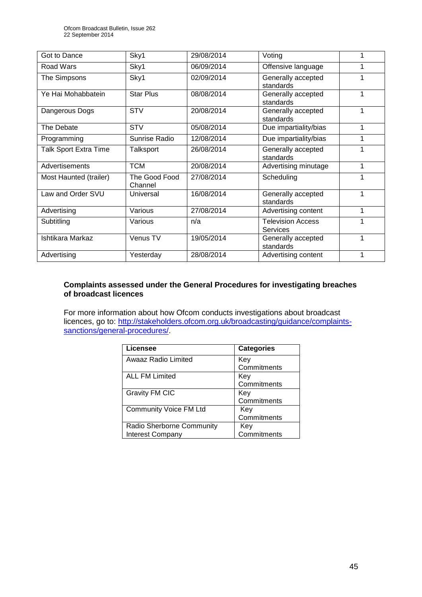| Got to Dance                 | Sky1                     | 29/08/2014 | Voting                                      |   |
|------------------------------|--------------------------|------------|---------------------------------------------|---|
| Road Wars                    | Sky1                     | 06/09/2014 | Offensive language                          |   |
| The Simpsons                 | Sky1                     | 02/09/2014 | Generally accepted<br>standards             |   |
| Ye Hai Mohabbatein           | <b>Star Plus</b>         | 08/08/2014 | Generally accepted<br>standards             | 1 |
| Dangerous Dogs               | <b>STV</b>               | 20/08/2014 | Generally accepted<br>standards             | 1 |
| The Debate                   | <b>STV</b>               | 05/08/2014 | Due impartiality/bias                       | 1 |
| Programming                  | Sunrise Radio            | 12/08/2014 | Due impartiality/bias                       | 1 |
| <b>Talk Sport Extra Time</b> | Talksport                | 26/08/2014 | Generally accepted<br>standards             |   |
| Advertisements               | <b>TCM</b>               | 20/08/2014 | Advertising minutage                        | 1 |
| Most Haunted (trailer)       | The Good Food<br>Channel | 27/08/2014 | Scheduling                                  | 1 |
| Law and Order SVU            | Universal                | 16/08/2014 | Generally accepted<br>standards             | 1 |
| Advertising                  | Various                  | 27/08/2014 | Advertising content                         | 1 |
| Subtitling                   | Various                  | n/a        | <b>Television Access</b><br><b>Services</b> |   |
| Ishtikara Markaz             | Venus TV                 | 19/05/2014 | Generally accepted<br>standards             | 1 |
| Advertising                  | Yesterday                | 28/08/2014 | Advertising content                         | 1 |

# **Complaints assessed under the General Procedures for investigating breaches of broadcast licences**

For more information about how Ofcom conducts investigations about broadcast licences, go to: [http://stakeholders.ofcom.org.uk/broadcasting/guidance/complaints](http://stakeholders.ofcom.org.uk/broadcasting/guidance/complaints-sanctions/general-procedures/)[sanctions/general-procedures/.](http://stakeholders.ofcom.org.uk/broadcasting/guidance/complaints-sanctions/general-procedures/)

| Licensee                      | <b>Categories</b> |
|-------------------------------|-------------------|
| Awaaz Radio Limited           | Key               |
|                               | Commitments       |
| <b>ALL FM Limited</b>         | Key               |
|                               | Commitments       |
| <b>Gravity FM CIC</b>         | Key               |
|                               | Commitments       |
| <b>Community Voice FM Ltd</b> | Key               |
|                               | Commitments       |
| Radio Sherborne Community     | Key               |
| <b>Interest Company</b>       | Commitments       |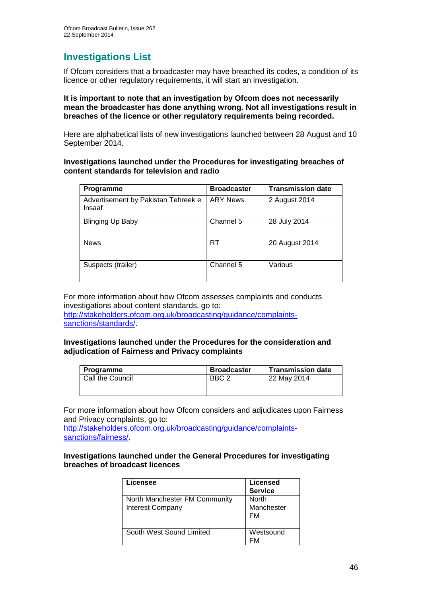# **Investigations List**

If Ofcom considers that a broadcaster may have breached its codes, a condition of its licence or other regulatory requirements, it will start an investigation.

## **It is important to note that an investigation by Ofcom does not necessarily mean the broadcaster has done anything wrong. Not all investigations result in breaches of the licence or other regulatory requirements being recorded.**

Here are alphabetical lists of new investigations launched between 28 August and 10 September 2014.

# **Investigations launched under the Procedures for investigating breaches of content standards for television and radio**

| <b>Programme</b>                              | <b>Broadcaster</b> | <b>Transmission date</b> |
|-----------------------------------------------|--------------------|--------------------------|
| Advertisement by Pakistan Tehreek e<br>Insaaf | <b>ARY News</b>    | 2 August 2014            |
| <b>Blinging Up Baby</b>                       | Channel 5          | 28 July 2014             |
| <b>News</b>                                   | <b>RT</b>          | 20 August 2014           |
| Suspects (trailer)                            | Channel 5          | Various                  |

For more information about how Ofcom assesses complaints and conducts investigations about content standards, go to: [http://stakeholders.ofcom.org.uk/broadcasting/guidance/complaints](http://stakeholders.ofcom.org.uk/broadcasting/guidance/complaints-sanctions/standards/)[sanctions/standards/.](http://stakeholders.ofcom.org.uk/broadcasting/guidance/complaints-sanctions/standards/)

## **Investigations launched under the Procedures for the consideration and adjudication of Fairness and Privacy complaints**

| <b>Programme</b> | <b>Broadcaster</b> | <b>Transmission date</b> |
|------------------|--------------------|--------------------------|
| Call the Council | BBC <sub>2</sub>   | 22 May 2014              |

For more information about how Ofcom considers and adjudicates upon Fairness and Privacy complaints, go to:

[http://stakeholders.ofcom.org.uk/broadcasting/guidance/complaints](http://stakeholders.ofcom.org.uk/broadcasting/guidance/complaints-sanctions/fairness/)[sanctions/fairness/.](http://stakeholders.ofcom.org.uk/broadcasting/guidance/complaints-sanctions/fairness/)

## **Investigations launched under the General Procedures for investigating breaches of broadcast licences**

| -icensee                                                 | <b>Licensed</b><br><b>Service</b> |
|----------------------------------------------------------|-----------------------------------|
| North Manchester FM Community<br><b>Interest Company</b> | North<br>Manchester<br>FM         |
| South West Sound Limited                                 | Westsound                         |